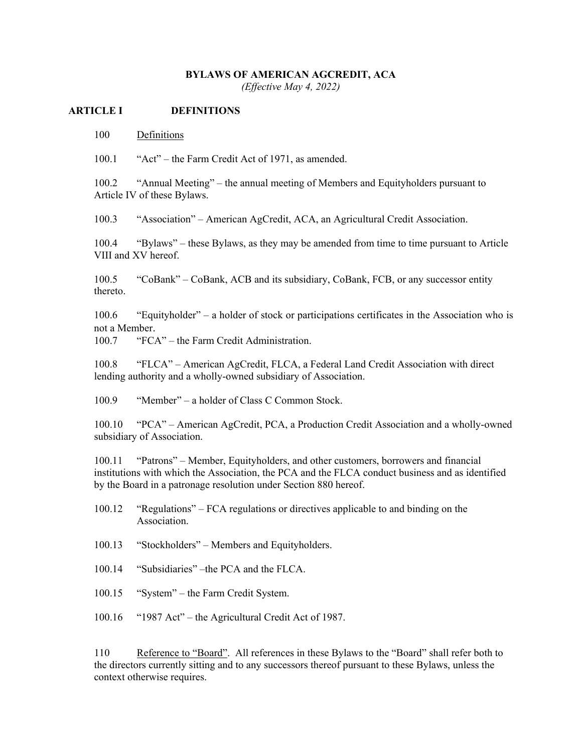### **BYLAWS OF AMERICAN AGCREDIT, ACA**

*(Effective May 4, 2022)* 

#### **ARTICLE I DEFINITIONS**

100 Definitions

100.1 "Act" – the Farm Credit Act of 1971, as amended.

100.2 "Annual Meeting" – the annual meeting of Members and Equityholders pursuant to Article IV of these Bylaws.

100.3 "Association" – American AgCredit, ACA, an Agricultural Credit Association.

100.4 "Bylaws" – these Bylaws, as they may be amended from time to time pursuant to Article VIII and XV hereof.

100.5 "CoBank" – CoBank, ACB and its subsidiary, CoBank, FCB, or any successor entity thereto.

100.6 "Equityholder" – a holder of stock or participations certificates in the Association who is not a Member.

100.7 "FCA" – the Farm Credit Administration.

100.8 "FLCA" – American AgCredit, FLCA, a Federal Land Credit Association with direct lending authority and a wholly-owned subsidiary of Association.

100.9 "Member" – a holder of Class C Common Stock.

100.10 "PCA" – American AgCredit, PCA, a Production Credit Association and a wholly-owned subsidiary of Association.

100.11 "Patrons" – Member, Equityholders, and other customers, borrowers and financial institutions with which the Association, the PCA and the FLCA conduct business and as identified by the Board in a patronage resolution under Section 880 hereof.

100.12 "Regulations" – FCA regulations or directives applicable to and binding on the Association.

100.13 "Stockholders" – Members and Equityholders.

100.14 "Subsidiaries" –the PCA and the FLCA.

100.15 "System" – the Farm Credit System.

100.16 "1987 Act" – the Agricultural Credit Act of 1987.

110 Reference to "Board". All references in these Bylaws to the "Board" shall refer both to the directors currently sitting and to any successors thereof pursuant to these Bylaws, unless the context otherwise requires.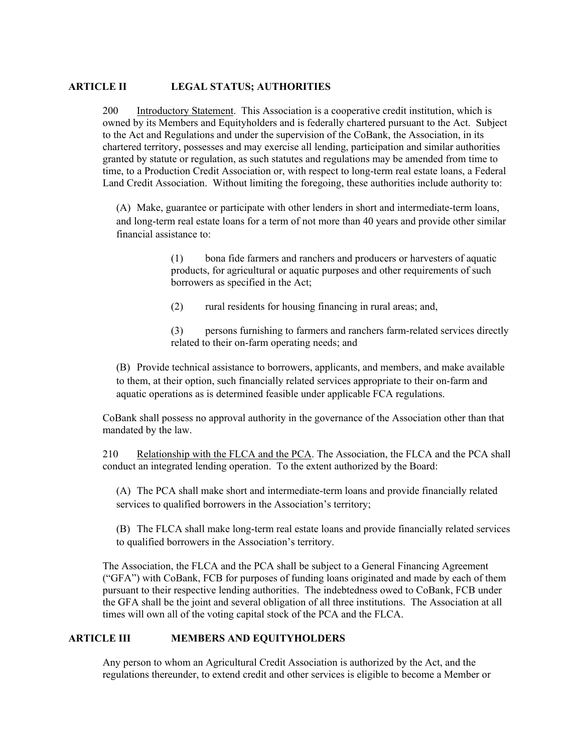### **ARTICLE II LEGAL STATUS; AUTHORITIES**

200 Introductory Statement. This Association is a cooperative credit institution, which is owned by its Members and Equityholders and is federally chartered pursuant to the Act. Subject to the Act and Regulations and under the supervision of the CoBank, the Association, in its chartered territory, possesses and may exercise all lending, participation and similar authorities granted by statute or regulation, as such statutes and regulations may be amended from time to time, to a Production Credit Association or, with respect to long-term real estate loans, a Federal Land Credit Association. Without limiting the foregoing, these authorities include authority to:

(A) Make, guarantee or participate with other lenders in short and intermediate-term loans, and long-term real estate loans for a term of not more than 40 years and provide other similar financial assistance to:

> (1) bona fide farmers and ranchers and producers or harvesters of aquatic products, for agricultural or aquatic purposes and other requirements of such borrowers as specified in the Act;

(2) rural residents for housing financing in rural areas; and,

(3) persons furnishing to farmers and ranchers farm-related services directly related to their on-farm operating needs; and

(B) Provide technical assistance to borrowers, applicants, and members, and make available to them, at their option, such financially related services appropriate to their on-farm and aquatic operations as is determined feasible under applicable FCA regulations.

CoBank shall possess no approval authority in the governance of the Association other than that mandated by the law.

210 Relationship with the FLCA and the PCA. The Association, the FLCA and the PCA shall conduct an integrated lending operation. To the extent authorized by the Board:

(A) The PCA shall make short and intermediate-term loans and provide financially related services to qualified borrowers in the Association's territory;

(B) The FLCA shall make long-term real estate loans and provide financially related services to qualified borrowers in the Association's territory.

The Association, the FLCA and the PCA shall be subject to a General Financing Agreement ("GFA") with CoBank, FCB for purposes of funding loans originated and made by each of them pursuant to their respective lending authorities. The indebtedness owed to CoBank, FCB under the GFA shall be the joint and several obligation of all three institutions. The Association at all times will own all of the voting capital stock of the PCA and the FLCA.

## **ARTICLE III MEMBERS AND EQUITYHOLDERS**

Any person to whom an Agricultural Credit Association is authorized by the Act, and the regulations thereunder, to extend credit and other services is eligible to become a Member or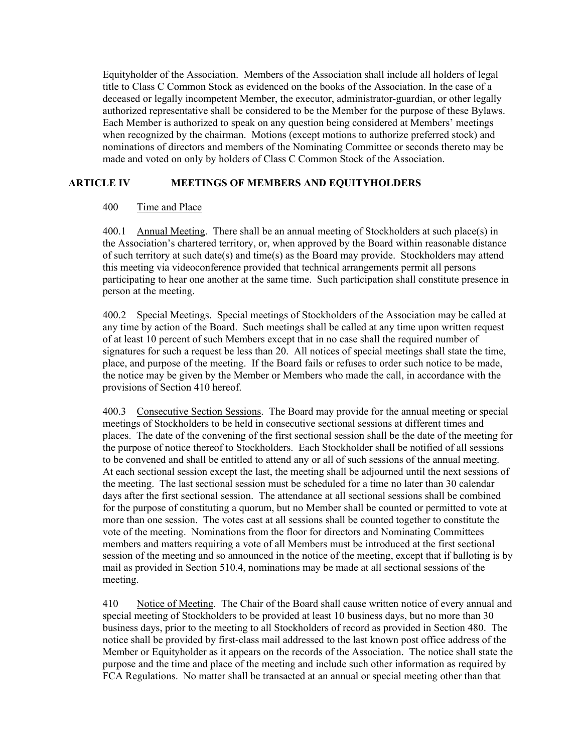Equityholder of the Association. Members of the Association shall include all holders of legal title to Class C Common Stock as evidenced on the books of the Association. In the case of a deceased or legally incompetent Member, the executor, administrator-guardian, or other legally authorized representative shall be considered to be the Member for the purpose of these Bylaws. Each Member is authorized to speak on any question being considered at Members' meetings when recognized by the chairman. Motions (except motions to authorize preferred stock) and nominations of directors and members of the Nominating Committee or seconds thereto may be made and voted on only by holders of Class C Common Stock of the Association.

# **ARTICLE IV MEETINGS OF MEMBERS AND EQUITYHOLDERS**

### 400 Time and Place

400.1 Annual Meeting. There shall be an annual meeting of Stockholders at such place(s) in the Association's chartered territory, or, when approved by the Board within reasonable distance of such territory at such date(s) and time(s) as the Board may provide. Stockholders may attend this meeting via videoconference provided that technical arrangements permit all persons participating to hear one another at the same time. Such participation shall constitute presence in person at the meeting.

400.2 Special Meetings. Special meetings of Stockholders of the Association may be called at any time by action of the Board. Such meetings shall be called at any time upon written request of at least 10 percent of such Members except that in no case shall the required number of signatures for such a request be less than 20. All notices of special meetings shall state the time, place, and purpose of the meeting. If the Board fails or refuses to order such notice to be made, the notice may be given by the Member or Members who made the call, in accordance with the provisions of Section 410 hereof.

400.3 Consecutive Section Sessions. The Board may provide for the annual meeting or special meetings of Stockholders to be held in consecutive sectional sessions at different times and places. The date of the convening of the first sectional session shall be the date of the meeting for the purpose of notice thereof to Stockholders. Each Stockholder shall be notified of all sessions to be convened and shall be entitled to attend any or all of such sessions of the annual meeting. At each sectional session except the last, the meeting shall be adjourned until the next sessions of the meeting. The last sectional session must be scheduled for a time no later than 30 calendar days after the first sectional session. The attendance at all sectional sessions shall be combined for the purpose of constituting a quorum, but no Member shall be counted or permitted to vote at more than one session. The votes cast at all sessions shall be counted together to constitute the vote of the meeting. Nominations from the floor for directors and Nominating Committees members and matters requiring a vote of all Members must be introduced at the first sectional session of the meeting and so announced in the notice of the meeting, except that if balloting is by mail as provided in Section 510.4, nominations may be made at all sectional sessions of the meeting.

410 Notice of Meeting. The Chair of the Board shall cause written notice of every annual and special meeting of Stockholders to be provided at least 10 business days, but no more than 30 business days, prior to the meeting to all Stockholders of record as provided in Section 480. The notice shall be provided by first-class mail addressed to the last known post office address of the Member or Equityholder as it appears on the records of the Association. The notice shall state the purpose and the time and place of the meeting and include such other information as required by FCA Regulations. No matter shall be transacted at an annual or special meeting other than that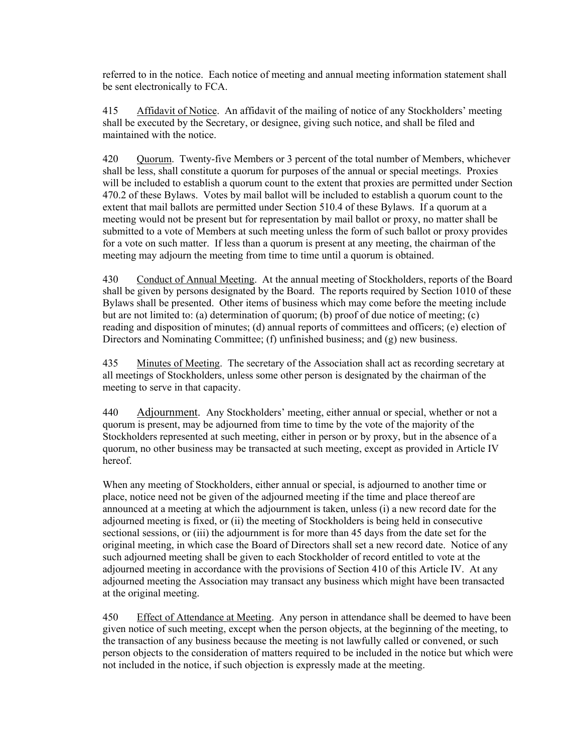referred to in the notice. Each notice of meeting and annual meeting information statement shall be sent electronically to FCA.

415 Affidavit of Notice. An affidavit of the mailing of notice of any Stockholders' meeting shall be executed by the Secretary, or designee, giving such notice, and shall be filed and maintained with the notice.

420 Quorum. Twenty-five Members or 3 percent of the total number of Members, whichever shall be less, shall constitute a quorum for purposes of the annual or special meetings. Proxies will be included to establish a quorum count to the extent that proxies are permitted under Section 470.2 of these Bylaws. Votes by mail ballot will be included to establish a quorum count to the extent that mail ballots are permitted under Section 510.4 of these Bylaws. If a quorum at a meeting would not be present but for representation by mail ballot or proxy, no matter shall be submitted to a vote of Members at such meeting unless the form of such ballot or proxy provides for a vote on such matter. If less than a quorum is present at any meeting, the chairman of the meeting may adjourn the meeting from time to time until a quorum is obtained.

430 Conduct of Annual Meeting. At the annual meeting of Stockholders, reports of the Board shall be given by persons designated by the Board. The reports required by Section 1010 of these Bylaws shall be presented. Other items of business which may come before the meeting include but are not limited to: (a) determination of quorum; (b) proof of due notice of meeting; (c) reading and disposition of minutes; (d) annual reports of committees and officers; (e) election of Directors and Nominating Committee; (f) unfinished business; and (g) new business.

435 Minutes of Meeting. The secretary of the Association shall act as recording secretary at all meetings of Stockholders, unless some other person is designated by the chairman of the meeting to serve in that capacity.

440 Adjournment. Any Stockholders' meeting, either annual or special, whether or not a quorum is present, may be adjourned from time to time by the vote of the majority of the Stockholders represented at such meeting, either in person or by proxy, but in the absence of a quorum, no other business may be transacted at such meeting, except as provided in Article IV hereof.

When any meeting of Stockholders, either annual or special, is adjourned to another time or place, notice need not be given of the adjourned meeting if the time and place thereof are announced at a meeting at which the adjournment is taken, unless (i) a new record date for the adjourned meeting is fixed, or (ii) the meeting of Stockholders is being held in consecutive sectional sessions, or (iii) the adjournment is for more than 45 days from the date set for the original meeting, in which case the Board of Directors shall set a new record date. Notice of any such adjourned meeting shall be given to each Stockholder of record entitled to vote at the adjourned meeting in accordance with the provisions of Section 410 of this Article IV. At any adjourned meeting the Association may transact any business which might have been transacted at the original meeting.

450 Effect of Attendance at Meeting. Any person in attendance shall be deemed to have been given notice of such meeting, except when the person objects, at the beginning of the meeting, to the transaction of any business because the meeting is not lawfully called or convened, or such person objects to the consideration of matters required to be included in the notice but which were not included in the notice, if such objection is expressly made at the meeting.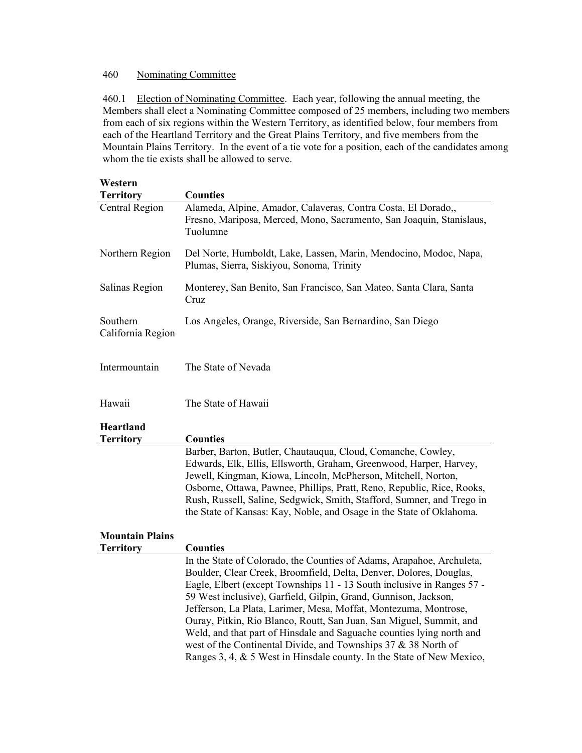# 460 Nominating Committee

460.1 Election of Nominating Committee. Each year, following the annual meeting, the Members shall elect a Nominating Committee composed of 25 members, including two members from each of six regions within the Western Territory, as identified below, four members from each of the Heartland Territory and the Great Plains Territory, and five members from the Mountain Plains Territory. In the event of a tie vote for a position, each of the candidates among whom the tie exists shall be allowed to serve.

| Western                       |                                                                                                                                                                                                                                                                                                                                                                                                                                                                                                                                                                                                                                                         |
|-------------------------------|---------------------------------------------------------------------------------------------------------------------------------------------------------------------------------------------------------------------------------------------------------------------------------------------------------------------------------------------------------------------------------------------------------------------------------------------------------------------------------------------------------------------------------------------------------------------------------------------------------------------------------------------------------|
| <b>Territory</b>              | <b>Counties</b>                                                                                                                                                                                                                                                                                                                                                                                                                                                                                                                                                                                                                                         |
| <b>Central Region</b>         | Alameda, Alpine, Amador, Calaveras, Contra Costa, El Dorado,,<br>Fresno, Mariposa, Merced, Mono, Sacramento, San Joaquin, Stanislaus,<br>Tuolumne                                                                                                                                                                                                                                                                                                                                                                                                                                                                                                       |
| Northern Region               | Del Norte, Humboldt, Lake, Lassen, Marin, Mendocino, Modoc, Napa,<br>Plumas, Sierra, Siskiyou, Sonoma, Trinity                                                                                                                                                                                                                                                                                                                                                                                                                                                                                                                                          |
| Salinas Region                | Monterey, San Benito, San Francisco, San Mateo, Santa Clara, Santa<br>Cruz                                                                                                                                                                                                                                                                                                                                                                                                                                                                                                                                                                              |
| Southern<br>California Region | Los Angeles, Orange, Riverside, San Bernardino, San Diego                                                                                                                                                                                                                                                                                                                                                                                                                                                                                                                                                                                               |
| Intermountain                 | The State of Nevada                                                                                                                                                                                                                                                                                                                                                                                                                                                                                                                                                                                                                                     |
| Hawaii                        | The State of Hawaii                                                                                                                                                                                                                                                                                                                                                                                                                                                                                                                                                                                                                                     |
| Heartland                     |                                                                                                                                                                                                                                                                                                                                                                                                                                                                                                                                                                                                                                                         |
| <b>Territory</b>              | <b>Counties</b>                                                                                                                                                                                                                                                                                                                                                                                                                                                                                                                                                                                                                                         |
|                               | Barber, Barton, Butler, Chautauqua, Cloud, Comanche, Cowley,<br>Edwards, Elk, Ellis, Ellsworth, Graham, Greenwood, Harper, Harvey,<br>Jewell, Kingman, Kiowa, Lincoln, McPherson, Mitchell, Norton,<br>Osborne, Ottawa, Pawnee, Phillips, Pratt, Reno, Republic, Rice, Rooks,<br>Rush, Russell, Saline, Sedgwick, Smith, Stafford, Sumner, and Trego in<br>the State of Kansas: Kay, Noble, and Osage in the State of Oklahoma.                                                                                                                                                                                                                         |
| <b>Mountain Plains</b>        |                                                                                                                                                                                                                                                                                                                                                                                                                                                                                                                                                                                                                                                         |
| <b>Territory</b>              | <b>Counties</b>                                                                                                                                                                                                                                                                                                                                                                                                                                                                                                                                                                                                                                         |
|                               | In the State of Colorado, the Counties of Adams, Arapahoe, Archuleta,<br>Boulder, Clear Creek, Broomfield, Delta, Denver, Dolores, Douglas,<br>Eagle, Elbert (except Townships 11 - 13 South inclusive in Ranges 57 -<br>59 West inclusive), Garfield, Gilpin, Grand, Gunnison, Jackson,<br>Jefferson, La Plata, Larimer, Mesa, Moffat, Montezuma, Montrose,<br>Ouray, Pitkin, Rio Blanco, Routt, San Juan, San Miguel, Summit, and<br>Weld, and that part of Hinsdale and Saguache counties lying north and<br>west of the Continental Divide, and Townships 37 & 38 North of<br>Ranges 3, 4, & 5 West in Hinsdale county. In the State of New Mexico, |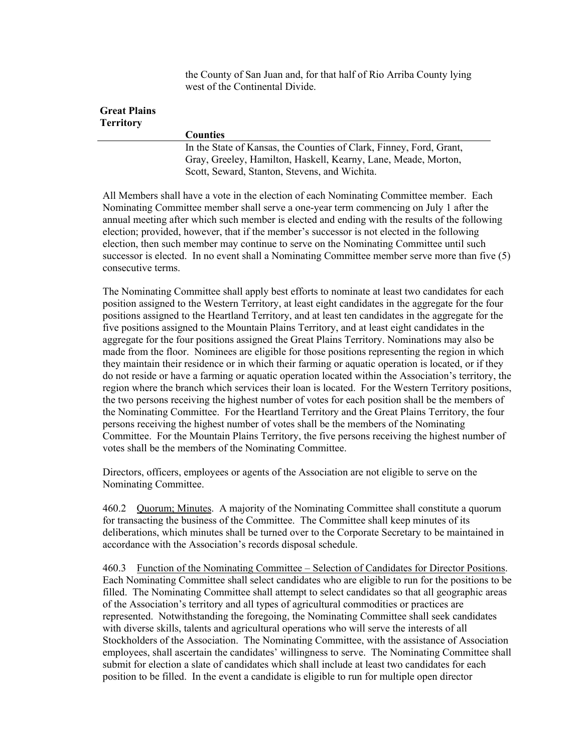the County of San Juan and, for that half of Rio Arriba County lying west of the Continental Divide.

# **Great Plains Territory**

**Counties**

In the State of Kansas, the Counties of Clark, Finney, Ford, Grant, Gray, Greeley, Hamilton, Haskell, Kearny, Lane, Meade, Morton, Scott, Seward, Stanton, Stevens, and Wichita.

All Members shall have a vote in the election of each Nominating Committee member. Each Nominating Committee member shall serve a one-year term commencing on July 1 after the annual meeting after which such member is elected and ending with the results of the following election; provided, however, that if the member's successor is not elected in the following election, then such member may continue to serve on the Nominating Committee until such successor is elected. In no event shall a Nominating Committee member serve more than five (5) consecutive terms.

The Nominating Committee shall apply best efforts to nominate at least two candidates for each position assigned to the Western Territory, at least eight candidates in the aggregate for the four positions assigned to the Heartland Territory, and at least ten candidates in the aggregate for the five positions assigned to the Mountain Plains Territory, and at least eight candidates in the aggregate for the four positions assigned the Great Plains Territory. Nominations may also be made from the floor. Nominees are eligible for those positions representing the region in which they maintain their residence or in which their farming or aquatic operation is located, or if they do not reside or have a farming or aquatic operation located within the Association's territory, the region where the branch which services their loan is located. For the Western Territory positions, the two persons receiving the highest number of votes for each position shall be the members of the Nominating Committee. For the Heartland Territory and the Great Plains Territory, the four persons receiving the highest number of votes shall be the members of the Nominating Committee. For the Mountain Plains Territory, the five persons receiving the highest number of votes shall be the members of the Nominating Committee.

Directors, officers, employees or agents of the Association are not eligible to serve on the Nominating Committee.

460.2 Quorum; Minutes. A majority of the Nominating Committee shall constitute a quorum for transacting the business of the Committee. The Committee shall keep minutes of its deliberations, which minutes shall be turned over to the Corporate Secretary to be maintained in accordance with the Association's records disposal schedule.

460.3 Function of the Nominating Committee – Selection of Candidates for Director Positions. Each Nominating Committee shall select candidates who are eligible to run for the positions to be filled. The Nominating Committee shall attempt to select candidates so that all geographic areas of the Association's territory and all types of agricultural commodities or practices are represented. Notwithstanding the foregoing, the Nominating Committee shall seek candidates with diverse skills, talents and agricultural operations who will serve the interests of all Stockholders of the Association. The Nominating Committee, with the assistance of Association employees, shall ascertain the candidates' willingness to serve. The Nominating Committee shall submit for election a slate of candidates which shall include at least two candidates for each position to be filled. In the event a candidate is eligible to run for multiple open director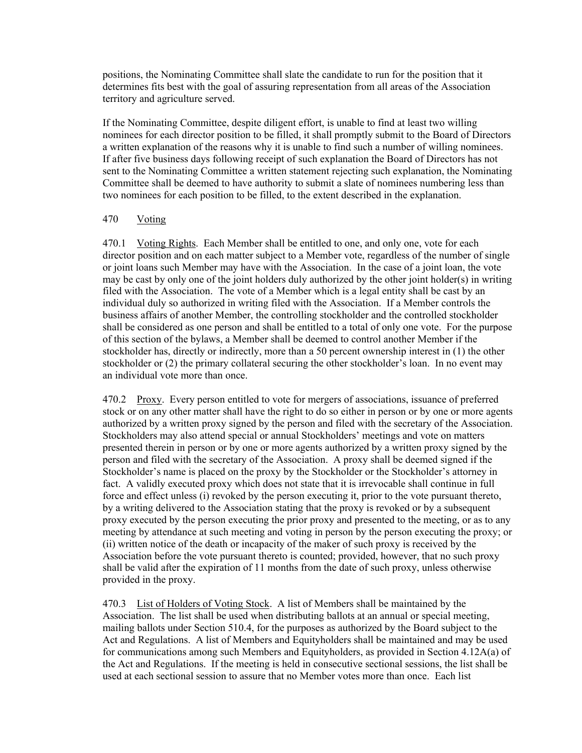positions, the Nominating Committee shall slate the candidate to run for the position that it determines fits best with the goal of assuring representation from all areas of the Association territory and agriculture served.

If the Nominating Committee, despite diligent effort, is unable to find at least two willing nominees for each director position to be filled, it shall promptly submit to the Board of Directors a written explanation of the reasons why it is unable to find such a number of willing nominees. If after five business days following receipt of such explanation the Board of Directors has not sent to the Nominating Committee a written statement rejecting such explanation, the Nominating Committee shall be deemed to have authority to submit a slate of nominees numbering less than two nominees for each position to be filled, to the extent described in the explanation.

#### 470 Voting

470.1 Voting Rights. Each Member shall be entitled to one, and only one, vote for each director position and on each matter subject to a Member vote, regardless of the number of single or joint loans such Member may have with the Association. In the case of a joint loan, the vote may be cast by only one of the joint holders duly authorized by the other joint holder(s) in writing filed with the Association. The vote of a Member which is a legal entity shall be cast by an individual duly so authorized in writing filed with the Association. If a Member controls the business affairs of another Member, the controlling stockholder and the controlled stockholder shall be considered as one person and shall be entitled to a total of only one vote. For the purpose of this section of the bylaws, a Member shall be deemed to control another Member if the stockholder has, directly or indirectly, more than a 50 percent ownership interest in (1) the other stockholder or (2) the primary collateral securing the other stockholder's loan. In no event may an individual vote more than once.

470.2 Proxy. Every person entitled to vote for mergers of associations, issuance of preferred stock or on any other matter shall have the right to do so either in person or by one or more agents authorized by a written proxy signed by the person and filed with the secretary of the Association. Stockholders may also attend special or annual Stockholders' meetings and vote on matters presented therein in person or by one or more agents authorized by a written proxy signed by the person and filed with the secretary of the Association. A proxy shall be deemed signed if the Stockholder's name is placed on the proxy by the Stockholder or the Stockholder's attorney in fact. A validly executed proxy which does not state that it is irrevocable shall continue in full force and effect unless (i) revoked by the person executing it, prior to the vote pursuant thereto, by a writing delivered to the Association stating that the proxy is revoked or by a subsequent proxy executed by the person executing the prior proxy and presented to the meeting, or as to any meeting by attendance at such meeting and voting in person by the person executing the proxy; or (ii) written notice of the death or incapacity of the maker of such proxy is received by the Association before the vote pursuant thereto is counted; provided, however, that no such proxy shall be valid after the expiration of 11 months from the date of such proxy, unless otherwise provided in the proxy.

470.3 List of Holders of Voting Stock. A list of Members shall be maintained by the Association. The list shall be used when distributing ballots at an annual or special meeting, mailing ballots under Section 510.4, for the purposes as authorized by the Board subject to the Act and Regulations. A list of Members and Equityholders shall be maintained and may be used for communications among such Members and Equityholders, as provided in Section 4.12A(a) of the Act and Regulations. If the meeting is held in consecutive sectional sessions, the list shall be used at each sectional session to assure that no Member votes more than once. Each list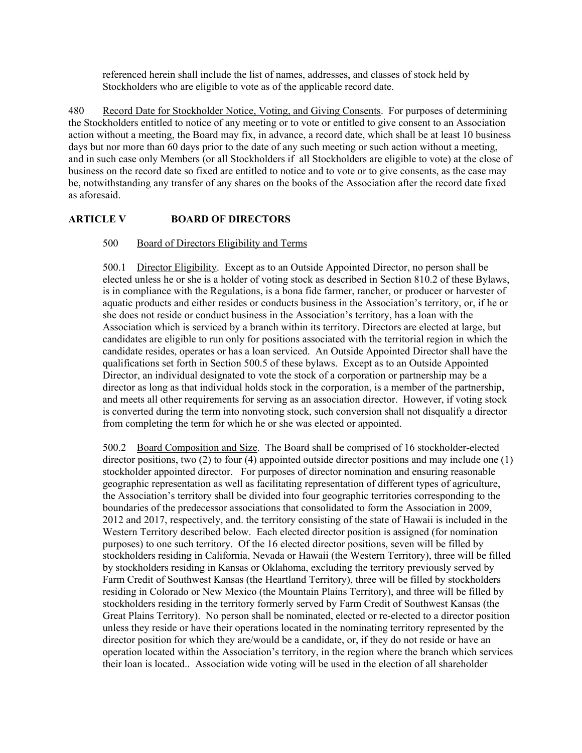referenced herein shall include the list of names, addresses, and classes of stock held by Stockholders who are eligible to vote as of the applicable record date.

480 Record Date for Stockholder Notice, Voting, and Giving Consents. For purposes of determining the Stockholders entitled to notice of any meeting or to vote or entitled to give consent to an Association action without a meeting, the Board may fix, in advance, a record date, which shall be at least 10 business days but nor more than 60 days prior to the date of any such meeting or such action without a meeting, and in such case only Members (or all Stockholders if all Stockholders are eligible to vote) at the close of business on the record date so fixed are entitled to notice and to vote or to give consents, as the case may be, notwithstanding any transfer of any shares on the books of the Association after the record date fixed as aforesaid.

# **ARTICLE V BOARD OF DIRECTORS**

### 500 Board of Directors Eligibility and Terms

500.1 Director Eligibility. Except as to an Outside Appointed Director, no person shall be elected unless he or she is a holder of voting stock as described in Section 810.2 of these Bylaws, is in compliance with the Regulations, is a bona fide farmer, rancher, or producer or harvester of aquatic products and either resides or conducts business in the Association's territory, or, if he or she does not reside or conduct business in the Association's territory, has a loan with the Association which is serviced by a branch within its territory. Directors are elected at large, but candidates are eligible to run only for positions associated with the territorial region in which the candidate resides, operates or has a loan serviced. An Outside Appointed Director shall have the qualifications set forth in Section 500.5 of these bylaws. Except as to an Outside Appointed Director, an individual designated to vote the stock of a corporation or partnership may be a director as long as that individual holds stock in the corporation, is a member of the partnership, and meets all other requirements for serving as an association director. However, if voting stock is converted during the term into nonvoting stock, such conversion shall not disqualify a director from completing the term for which he or she was elected or appointed.

500.2 Board Composition and Size. The Board shall be comprised of 16 stockholder-elected director positions, two (2) to four (4) appointed outside director positions and may include one (1) stockholder appointed director. For purposes of director nomination and ensuring reasonable geographic representation as well as facilitating representation of different types of agriculture, the Association's territory shall be divided into four geographic territories corresponding to the boundaries of the predecessor associations that consolidated to form the Association in 2009, 2012 and 2017, respectively, and. the territory consisting of the state of Hawaii is included in the Western Territory described below. Each elected director position is assigned (for nomination purposes) to one such territory. Of the 16 elected director positions, seven will be filled by stockholders residing in California, Nevada or Hawaii (the Western Territory), three will be filled by stockholders residing in Kansas or Oklahoma, excluding the territory previously served by Farm Credit of Southwest Kansas (the Heartland Territory), three will be filled by stockholders residing in Colorado or New Mexico (the Mountain Plains Territory), and three will be filled by stockholders residing in the territory formerly served by Farm Credit of Southwest Kansas (the Great Plains Territory). No person shall be nominated, elected or re-elected to a director position unless they reside or have their operations located in the nominating territory represented by the director position for which they are/would be a candidate, or, if they do not reside or have an operation located within the Association's territory, in the region where the branch which services their loan is located.. Association wide voting will be used in the election of all shareholder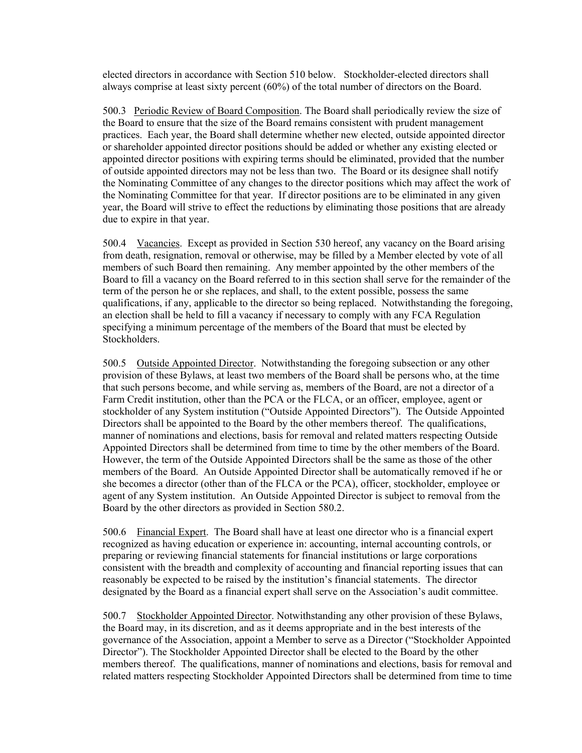elected directors in accordance with Section 510 below. Stockholder-elected directors shall always comprise at least sixty percent (60%) of the total number of directors on the Board.

500.3 Periodic Review of Board Composition. The Board shall periodically review the size of the Board to ensure that the size of the Board remains consistent with prudent management practices. Each year, the Board shall determine whether new elected, outside appointed director or shareholder appointed director positions should be added or whether any existing elected or appointed director positions with expiring terms should be eliminated, provided that the number of outside appointed directors may not be less than two. The Board or its designee shall notify the Nominating Committee of any changes to the director positions which may affect the work of the Nominating Committee for that year. If director positions are to be eliminated in any given year, the Board will strive to effect the reductions by eliminating those positions that are already due to expire in that year.

500.4 Vacancies. Except as provided in Section 530 hereof, any vacancy on the Board arising from death, resignation, removal or otherwise, may be filled by a Member elected by vote of all members of such Board then remaining. Any member appointed by the other members of the Board to fill a vacancy on the Board referred to in this section shall serve for the remainder of the term of the person he or she replaces, and shall, to the extent possible, possess the same qualifications, if any, applicable to the director so being replaced. Notwithstanding the foregoing, an election shall be held to fill a vacancy if necessary to comply with any FCA Regulation specifying a minimum percentage of the members of the Board that must be elected by Stockholders.

500.5 Outside Appointed Director. Notwithstanding the foregoing subsection or any other provision of these Bylaws, at least two members of the Board shall be persons who, at the time that such persons become, and while serving as, members of the Board, are not a director of a Farm Credit institution, other than the PCA or the FLCA, or an officer, employee, agent or stockholder of any System institution ("Outside Appointed Directors"). The Outside Appointed Directors shall be appointed to the Board by the other members thereof. The qualifications, manner of nominations and elections, basis for removal and related matters respecting Outside Appointed Directors shall be determined from time to time by the other members of the Board. However, the term of the Outside Appointed Directors shall be the same as those of the other members of the Board. An Outside Appointed Director shall be automatically removed if he or she becomes a director (other than of the FLCA or the PCA), officer, stockholder, employee or agent of any System institution. An Outside Appointed Director is subject to removal from the Board by the other directors as provided in Section 580.2.

500.6 Financial Expert. The Board shall have at least one director who is a financial expert recognized as having education or experience in: accounting, internal accounting controls, or preparing or reviewing financial statements for financial institutions or large corporations consistent with the breadth and complexity of accounting and financial reporting issues that can reasonably be expected to be raised by the institution's financial statements. The director designated by the Board as a financial expert shall serve on the Association's audit committee.

500.7 Stockholder Appointed Director. Notwithstanding any other provision of these Bylaws, the Board may, in its discretion, and as it deems appropriate and in the best interests of the governance of the Association, appoint a Member to serve as a Director ("Stockholder Appointed Director"). The Stockholder Appointed Director shall be elected to the Board by the other members thereof. The qualifications, manner of nominations and elections, basis for removal and related matters respecting Stockholder Appointed Directors shall be determined from time to time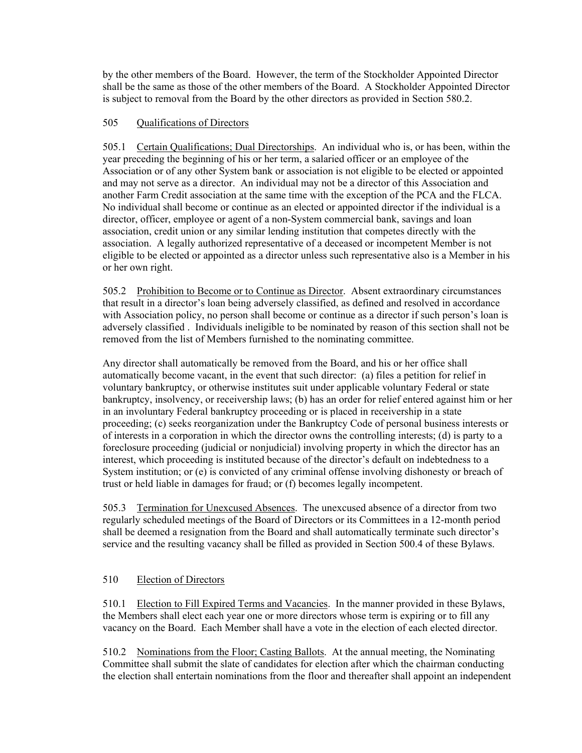by the other members of the Board. However, the term of the Stockholder Appointed Director shall be the same as those of the other members of the Board. A Stockholder Appointed Director is subject to removal from the Board by the other directors as provided in Section 580.2.

## 505 Qualifications of Directors

505.1 Certain Qualifications; Dual Directorships. An individual who is, or has been, within the year preceding the beginning of his or her term, a salaried officer or an employee of the Association or of any other System bank or association is not eligible to be elected or appointed and may not serve as a director. An individual may not be a director of this Association and another Farm Credit association at the same time with the exception of the PCA and the FLCA. No individual shall become or continue as an elected or appointed director if the individual is a director, officer, employee or agent of a non-System commercial bank, savings and loan association, credit union or any similar lending institution that competes directly with the association. A legally authorized representative of a deceased or incompetent Member is not eligible to be elected or appointed as a director unless such representative also is a Member in his or her own right.

505.2 Prohibition to Become or to Continue as Director. Absent extraordinary circumstances that result in a director's loan being adversely classified, as defined and resolved in accordance with Association policy, no person shall become or continue as a director if such person's loan is adversely classified . Individuals ineligible to be nominated by reason of this section shall not be removed from the list of Members furnished to the nominating committee.

Any director shall automatically be removed from the Board, and his or her office shall automatically become vacant, in the event that such director: (a) files a petition for relief in voluntary bankruptcy, or otherwise institutes suit under applicable voluntary Federal or state bankruptcy, insolvency, or receivership laws; (b) has an order for relief entered against him or her in an involuntary Federal bankruptcy proceeding or is placed in receivership in a state proceeding; (c) seeks reorganization under the Bankruptcy Code of personal business interests or of interests in a corporation in which the director owns the controlling interests; (d) is party to a foreclosure proceeding (judicial or nonjudicial) involving property in which the director has an interest, which proceeding is instituted because of the director's default on indebtedness to a System institution; or (e) is convicted of any criminal offense involving dishonesty or breach of trust or held liable in damages for fraud; or (f) becomes legally incompetent.

505.3 Termination for Unexcused Absences. The unexcused absence of a director from two regularly scheduled meetings of the Board of Directors or its Committees in a 12-month period shall be deemed a resignation from the Board and shall automatically terminate such director's service and the resulting vacancy shall be filled as provided in Section 500.4 of these Bylaws.

### 510 Election of Directors

510.1 Election to Fill Expired Terms and Vacancies. In the manner provided in these Bylaws, the Members shall elect each year one or more directors whose term is expiring or to fill any vacancy on the Board. Each Member shall have a vote in the election of each elected director.

510.2 Nominations from the Floor; Casting Ballots. At the annual meeting, the Nominating Committee shall submit the slate of candidates for election after which the chairman conducting the election shall entertain nominations from the floor and thereafter shall appoint an independent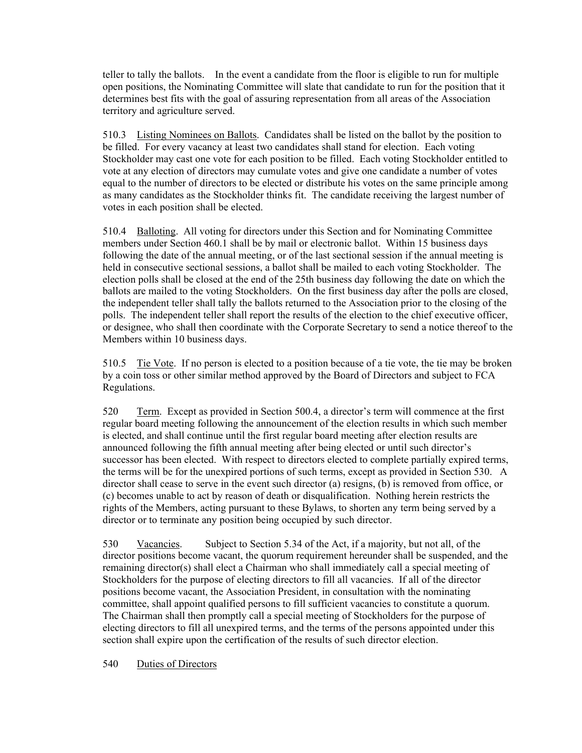teller to tally the ballots. In the event a candidate from the floor is eligible to run for multiple open positions, the Nominating Committee will slate that candidate to run for the position that it determines best fits with the goal of assuring representation from all areas of the Association territory and agriculture served.

510.3 Listing Nominees on Ballots. Candidates shall be listed on the ballot by the position to be filled. For every vacancy at least two candidates shall stand for election. Each voting Stockholder may cast one vote for each position to be filled. Each voting Stockholder entitled to vote at any election of directors may cumulate votes and give one candidate a number of votes equal to the number of directors to be elected or distribute his votes on the same principle among as many candidates as the Stockholder thinks fit. The candidate receiving the largest number of votes in each position shall be elected.

510.4 Balloting. All voting for directors under this Section and for Nominating Committee members under Section 460.1 shall be by mail or electronic ballot. Within 15 business days following the date of the annual meeting, or of the last sectional session if the annual meeting is held in consecutive sectional sessions, a ballot shall be mailed to each voting Stockholder. The election polls shall be closed at the end of the 25th business day following the date on which the ballots are mailed to the voting Stockholders. On the first business day after the polls are closed, the independent teller shall tally the ballots returned to the Association prior to the closing of the polls. The independent teller shall report the results of the election to the chief executive officer, or designee, who shall then coordinate with the Corporate Secretary to send a notice thereof to the Members within 10 business days.

510.5 Tie Vote. If no person is elected to a position because of a tie vote, the tie may be broken by a coin toss or other similar method approved by the Board of Directors and subject to FCA Regulations.

520 Term. Except as provided in Section 500.4, a director's term will commence at the first regular board meeting following the announcement of the election results in which such member is elected, and shall continue until the first regular board meeting after election results are announced following the fifth annual meeting after being elected or until such director's successor has been elected. With respect to directors elected to complete partially expired terms, the terms will be for the unexpired portions of such terms, except as provided in Section 530. A director shall cease to serve in the event such director (a) resigns, (b) is removed from office, or (c) becomes unable to act by reason of death or disqualification. Nothing herein restricts the rights of the Members, acting pursuant to these Bylaws, to shorten any term being served by a director or to terminate any position being occupied by such director.

530 Vacancies. Subject to Section 5.34 of the Act, if a majority, but not all, of the director positions become vacant, the quorum requirement hereunder shall be suspended, and the remaining director(s) shall elect a Chairman who shall immediately call a special meeting of Stockholders for the purpose of electing directors to fill all vacancies. If all of the director positions become vacant, the Association President, in consultation with the nominating committee, shall appoint qualified persons to fill sufficient vacancies to constitute a quorum. The Chairman shall then promptly call a special meeting of Stockholders for the purpose of electing directors to fill all unexpired terms, and the terms of the persons appointed under this section shall expire upon the certification of the results of such director election.

540 Duties of Directors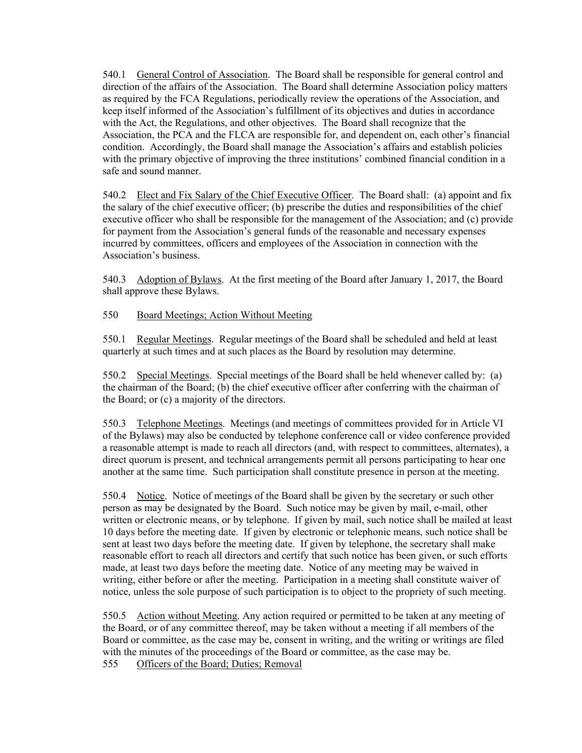540.1 General Control of Association. The Board shall be responsible for general control and direction of the affairs of the Association. The Board shall determine Association policy matters as required by the FCA Regulations, periodically review the operations of the Association, and keep itself informed of the Association's fulfillment of its objectives and duties in accordance with the Act, the Regulations, and other objectives. The Board shall recognize that the Association, the PCA and the FLCA are responsible for, and dependent on, each other's financial condition. Accordingly, the Board shall manage the Association's affairs and establish policies with the primary objective of improving the three institutions' combined financial condition in a safe and sound manner.

540.2 Elect and Fix Salary of the Chief Executive Officer. The Board shall: (a) appoint and fix the salary of the chief executive officer; (b) prescribe the duties and responsibilities of the chief executive officer who shall be responsible for the management of the Association; and (c) provide for payment from the Association's general funds of the reasonable and necessary expenses incurred by committees, officers and employees of the Association in connection with the Association's business.

540.3 Adoption of Bylaws. At the first meeting of the Board after January 1, 2017, the Board shall approve these Bylaws.

## 550 Board Meetings; Action Without Meeting

550.1 Regular Meetings. Regular meetings of the Board shall be scheduled and held at least quarterly at such times and at such places as the Board by resolution may determine.

550.2 Special Meetings. Special meetings of the Board shall be held whenever called by: (a) the chairman of the Board; (b) the chief executive officer after conferring with the chairman of the Board; or (c) a majority of the directors.

550.3 Telephone Meetings. Meetings (and meetings of committees provided for in Article VI of the Bylaws) may also be conducted by telephone conference call or video conference provided a reasonable attempt is made to reach all directors (and, with respect to committees, alternates), a direct quorum is present, and technical arrangements permit all persons participating to hear one another at the same time. Such participation shall constitute presence in person at the meeting.

550.4 Notice. Notice of meetings of the Board shall be given by the secretary or such other person as may be designated by the Board. Such notice may be given by mail, e-mail, other written or electronic means, or by telephone. If given by mail, such notice shall be mailed at least 10 days before the meeting date. If given by electronic or telephonic means, such notice shall be sent at least two days before the meeting date. If given by telephone, the secretary shall make reasonable effort to reach all directors and certify that such notice has been given, or such efforts made, at least two days before the meeting date. Notice of any meeting may be waived in writing, either before or after the meeting. Participation in a meeting shall constitute waiver of notice, unless the sole purpose of such participation is to object to the propriety of such meeting.

550.5 Action without Meeting. Any action required or permitted to be taken at any meeting of the Board, or of any committee thereof, may be taken without a meeting if all members of the Board or committee, as the case may be, consent in writing, and the writing or writings are filed with the minutes of the proceedings of the Board or committee, as the case may be.

555 Officers of the Board; Duties; Removal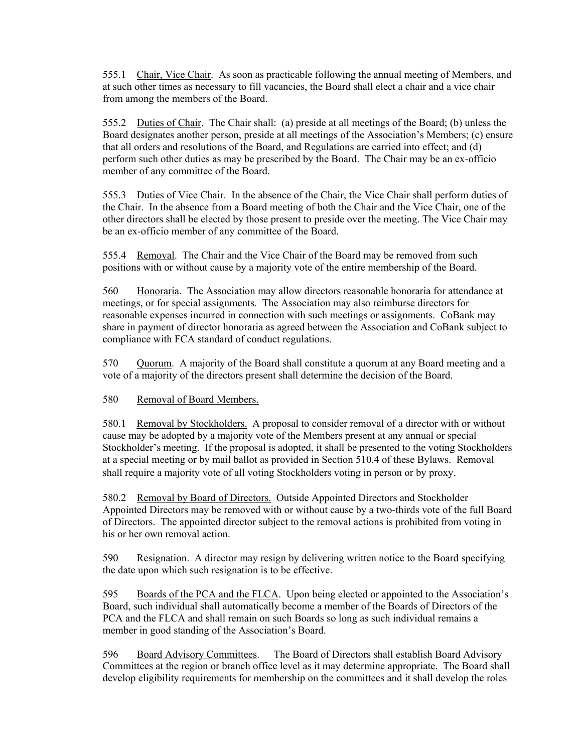555.1 Chair, Vice Chair. As soon as practicable following the annual meeting of Members, and at such other times as necessary to fill vacancies, the Board shall elect a chair and a vice chair from among the members of the Board.

555.2 Duties of Chair. The Chair shall: (a) preside at all meetings of the Board; (b) unless the Board designates another person, preside at all meetings of the Association's Members; (c) ensure that all orders and resolutions of the Board, and Regulations are carried into effect; and (d) perform such other duties as may be prescribed by the Board. The Chair may be an ex-officio member of any committee of the Board.

555.3 Duties of Vice Chair. In the absence of the Chair, the Vice Chair shall perform duties of the Chair. In the absence from a Board meeting of both the Chair and the Vice Chair, one of the other directors shall be elected by those present to preside over the meeting. The Vice Chair may be an ex-officio member of any committee of the Board.

555.4 Removal. The Chair and the Vice Chair of the Board may be removed from such positions with or without cause by a majority vote of the entire membership of the Board.

560 Honoraria. The Association may allow directors reasonable honoraria for attendance at meetings, or for special assignments. The Association may also reimburse directors for reasonable expenses incurred in connection with such meetings or assignments. CoBank may share in payment of director honoraria as agreed between the Association and CoBank subject to compliance with FCA standard of conduct regulations.

570 Quorum. A majority of the Board shall constitute a quorum at any Board meeting and a vote of a majority of the directors present shall determine the decision of the Board.

580 Removal of Board Members.

580.1 Removal by Stockholders. A proposal to consider removal of a director with or without cause may be adopted by a majority vote of the Members present at any annual or special Stockholder's meeting. If the proposal is adopted, it shall be presented to the voting Stockholders at a special meeting or by mail ballot as provided in Section 510.4 of these Bylaws. Removal shall require a majority vote of all voting Stockholders voting in person or by proxy.

580.2 Removal by Board of Directors. Outside Appointed Directors and Stockholder Appointed Directors may be removed with or without cause by a two-thirds vote of the full Board of Directors. The appointed director subject to the removal actions is prohibited from voting in his or her own removal action.

590 Resignation. A director may resign by delivering written notice to the Board specifying the date upon which such resignation is to be effective.

595 Boards of the PCA and the FLCA. Upon being elected or appointed to the Association's Board, such individual shall automatically become a member of the Boards of Directors of the PCA and the FLCA and shall remain on such Boards so long as such individual remains a member in good standing of the Association's Board.

596 Board Advisory Committees. The Board of Directors shall establish Board Advisory Committees at the region or branch office level as it may determine appropriate. The Board shall develop eligibility requirements for membership on the committees and it shall develop the roles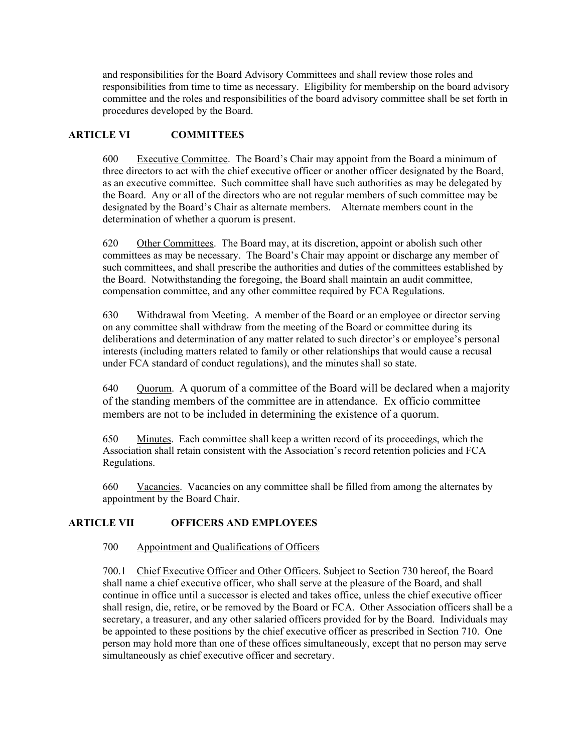and responsibilities for the Board Advisory Committees and shall review those roles and responsibilities from time to time as necessary. Eligibility for membership on the board advisory committee and the roles and responsibilities of the board advisory committee shall be set forth in procedures developed by the Board.

## **ARTICLE VI COMMITTEES**

600 Executive Committee. The Board's Chair may appoint from the Board a minimum of three directors to act with the chief executive officer or another officer designated by the Board, as an executive committee. Such committee shall have such authorities as may be delegated by the Board. Any or all of the directors who are not regular members of such committee may be designated by the Board's Chair as alternate members. Alternate members count in the determination of whether a quorum is present.

620 Other Committees. The Board may, at its discretion, appoint or abolish such other committees as may be necessary. The Board's Chair may appoint or discharge any member of such committees, and shall prescribe the authorities and duties of the committees established by the Board. Notwithstanding the foregoing, the Board shall maintain an audit committee, compensation committee, and any other committee required by FCA Regulations.

630 Withdrawal from Meeting. A member of the Board or an employee or director serving on any committee shall withdraw from the meeting of the Board or committee during its deliberations and determination of any matter related to such director's or employee's personal interests (including matters related to family or other relationships that would cause a recusal under FCA standard of conduct regulations), and the minutes shall so state.

640 Quorum. A quorum of a committee of the Board will be declared when a majority of the standing members of the committee are in attendance. Ex officio committee members are not to be included in determining the existence of a quorum.

650 Minutes. Each committee shall keep a written record of its proceedings, which the Association shall retain consistent with the Association's record retention policies and FCA Regulations.

660 Vacancies. Vacancies on any committee shall be filled from among the alternates by appointment by the Board Chair.

# **ARTICLE VII OFFICERS AND EMPLOYEES**

### 700 Appointment and Qualifications of Officers

700.1 Chief Executive Officer and Other Officers. Subject to Section 730 hereof, the Board shall name a chief executive officer, who shall serve at the pleasure of the Board, and shall continue in office until a successor is elected and takes office, unless the chief executive officer shall resign, die, retire, or be removed by the Board or FCA. Other Association officers shall be a secretary, a treasurer, and any other salaried officers provided for by the Board. Individuals may be appointed to these positions by the chief executive officer as prescribed in Section 710. One person may hold more than one of these offices simultaneously, except that no person may serve simultaneously as chief executive officer and secretary.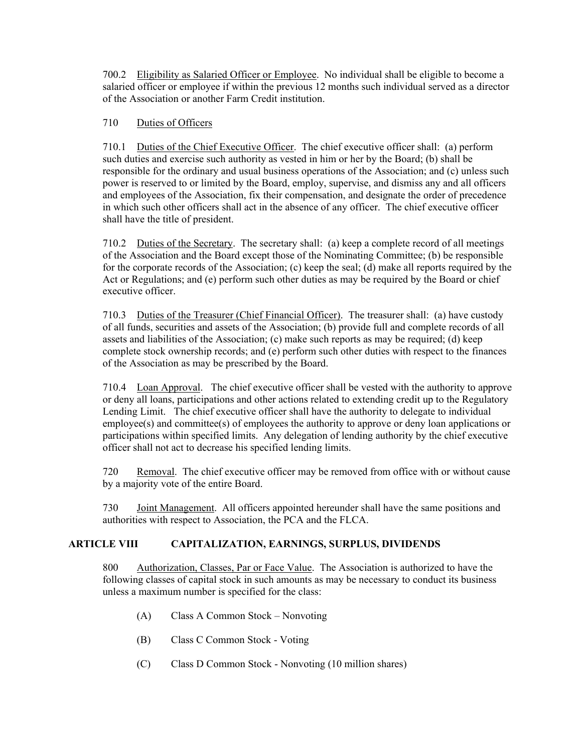700.2 Eligibility as Salaried Officer or Employee. No individual shall be eligible to become a salaried officer or employee if within the previous 12 months such individual served as a director of the Association or another Farm Credit institution.

# 710 Duties of Officers

710.1 Duties of the Chief Executive Officer. The chief executive officer shall: (a) perform such duties and exercise such authority as vested in him or her by the Board; (b) shall be responsible for the ordinary and usual business operations of the Association; and (c) unless such power is reserved to or limited by the Board, employ, supervise, and dismiss any and all officers and employees of the Association, fix their compensation, and designate the order of precedence in which such other officers shall act in the absence of any officer. The chief executive officer shall have the title of president.

710.2 Duties of the Secretary. The secretary shall: (a) keep a complete record of all meetings of the Association and the Board except those of the Nominating Committee; (b) be responsible for the corporate records of the Association; (c) keep the seal; (d) make all reports required by the Act or Regulations; and (e) perform such other duties as may be required by the Board or chief executive officer.

710.3 Duties of the Treasurer (Chief Financial Officer). The treasurer shall: (a) have custody of all funds, securities and assets of the Association; (b) provide full and complete records of all assets and liabilities of the Association; (c) make such reports as may be required; (d) keep complete stock ownership records; and (e) perform such other duties with respect to the finances of the Association as may be prescribed by the Board.

710.4 Loan Approval. The chief executive officer shall be vested with the authority to approve or deny all loans, participations and other actions related to extending credit up to the Regulatory Lending Limit. The chief executive officer shall have the authority to delegate to individual employee(s) and committee(s) of employees the authority to approve or deny loan applications or participations within specified limits. Any delegation of lending authority by the chief executive officer shall not act to decrease his specified lending limits.

720 Removal. The chief executive officer may be removed from office with or without cause by a majority vote of the entire Board.

730 Joint Management. All officers appointed hereunder shall have the same positions and authorities with respect to Association, the PCA and the FLCA.

# **ARTICLE VIII CAPITALIZATION, EARNINGS, SURPLUS, DIVIDENDS**

800 Authorization, Classes, Par or Face Value. The Association is authorized to have the following classes of capital stock in such amounts as may be necessary to conduct its business unless a maximum number is specified for the class:

- (A) Class A Common Stock Nonvoting
- (B) Class C Common Stock Voting
- (C) Class D Common Stock Nonvoting (10 million shares)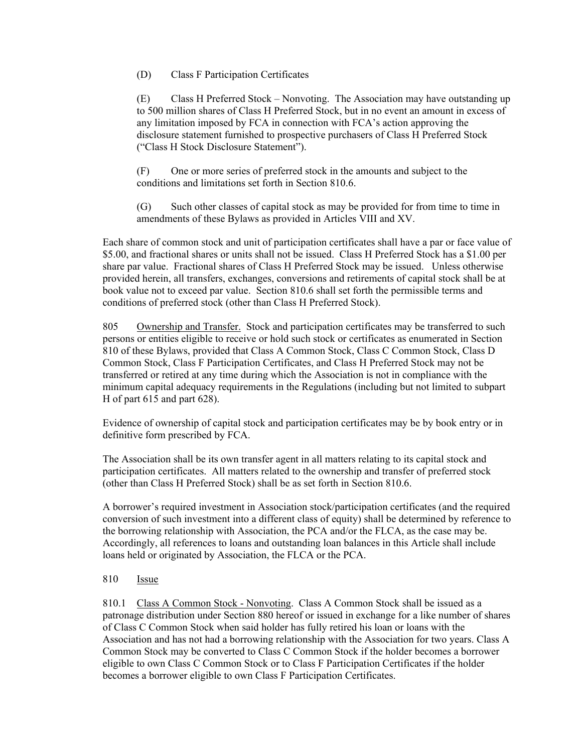### (D) Class F Participation Certificates

(E) Class H Preferred Stock – Nonvoting. The Association may have outstanding up to 500 million shares of Class H Preferred Stock, but in no event an amount in excess of any limitation imposed by FCA in connection with FCA's action approving the disclosure statement furnished to prospective purchasers of Class H Preferred Stock ("Class H Stock Disclosure Statement").

(F) One or more series of preferred stock in the amounts and subject to the conditions and limitations set forth in Section 810.6.

(G) Such other classes of capital stock as may be provided for from time to time in amendments of these Bylaws as provided in Articles VIII and XV.

Each share of common stock and unit of participation certificates shall have a par or face value of \$5.00, and fractional shares or units shall not be issued. Class H Preferred Stock has a \$1.00 per share par value. Fractional shares of Class H Preferred Stock may be issued. Unless otherwise provided herein, all transfers, exchanges, conversions and retirements of capital stock shall be at book value not to exceed par value. Section 810.6 shall set forth the permissible terms and conditions of preferred stock (other than Class H Preferred Stock).

805 Ownership and Transfer. Stock and participation certificates may be transferred to such persons or entities eligible to receive or hold such stock or certificates as enumerated in Section 810 of these Bylaws, provided that Class A Common Stock, Class C Common Stock, Class D Common Stock, Class F Participation Certificates, and Class H Preferred Stock may not be transferred or retired at any time during which the Association is not in compliance with the minimum capital adequacy requirements in the Regulations (including but not limited to subpart H of part 615 and part 628).

Evidence of ownership of capital stock and participation certificates may be by book entry or in definitive form prescribed by FCA.

The Association shall be its own transfer agent in all matters relating to its capital stock and participation certificates. All matters related to the ownership and transfer of preferred stock (other than Class H Preferred Stock) shall be as set forth in Section 810.6.

A borrower's required investment in Association stock/participation certificates (and the required conversion of such investment into a different class of equity) shall be determined by reference to the borrowing relationship with Association, the PCA and/or the FLCA, as the case may be. Accordingly, all references to loans and outstanding loan balances in this Article shall include loans held or originated by Association, the FLCA or the PCA.

### 810 Issue

810.1 Class A Common Stock - Nonvoting. Class A Common Stock shall be issued as a patronage distribution under Section 880 hereof or issued in exchange for a like number of shares of Class C Common Stock when said holder has fully retired his loan or loans with the Association and has not had a borrowing relationship with the Association for two years. Class A Common Stock may be converted to Class C Common Stock if the holder becomes a borrower eligible to own Class C Common Stock or to Class F Participation Certificates if the holder becomes a borrower eligible to own Class F Participation Certificates.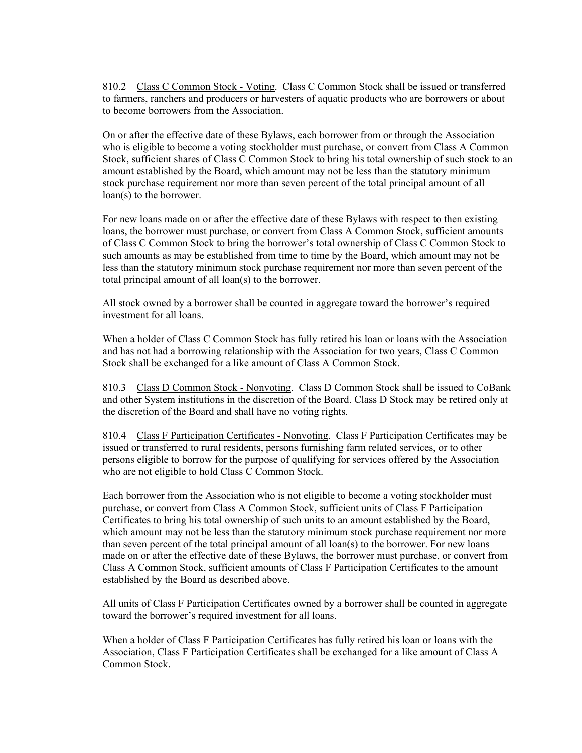810.2 Class C Common Stock - Voting. Class C Common Stock shall be issued or transferred to farmers, ranchers and producers or harvesters of aquatic products who are borrowers or about to become borrowers from the Association.

On or after the effective date of these Bylaws, each borrower from or through the Association who is eligible to become a voting stockholder must purchase, or convert from Class A Common Stock, sufficient shares of Class C Common Stock to bring his total ownership of such stock to an amount established by the Board, which amount may not be less than the statutory minimum stock purchase requirement nor more than seven percent of the total principal amount of all loan(s) to the borrower.

For new loans made on or after the effective date of these Bylaws with respect to then existing loans, the borrower must purchase, or convert from Class A Common Stock, sufficient amounts of Class C Common Stock to bring the borrower's total ownership of Class C Common Stock to such amounts as may be established from time to time by the Board, which amount may not be less than the statutory minimum stock purchase requirement nor more than seven percent of the total principal amount of all loan(s) to the borrower.

All stock owned by a borrower shall be counted in aggregate toward the borrower's required investment for all loans.

When a holder of Class C Common Stock has fully retired his loan or loans with the Association and has not had a borrowing relationship with the Association for two years, Class C Common Stock shall be exchanged for a like amount of Class A Common Stock.

810.3 Class D Common Stock - Nonvoting. Class D Common Stock shall be issued to CoBank and other System institutions in the discretion of the Board. Class D Stock may be retired only at the discretion of the Board and shall have no voting rights.

810.4 Class F Participation Certificates - Nonvoting. Class F Participation Certificates may be issued or transferred to rural residents, persons furnishing farm related services, or to other persons eligible to borrow for the purpose of qualifying for services offered by the Association who are not eligible to hold Class C Common Stock.

Each borrower from the Association who is not eligible to become a voting stockholder must purchase, or convert from Class A Common Stock, sufficient units of Class F Participation Certificates to bring his total ownership of such units to an amount established by the Board, which amount may not be less than the statutory minimum stock purchase requirement nor more than seven percent of the total principal amount of all loan(s) to the borrower. For new loans made on or after the effective date of these Bylaws, the borrower must purchase, or convert from Class A Common Stock, sufficient amounts of Class F Participation Certificates to the amount established by the Board as described above.

All units of Class F Participation Certificates owned by a borrower shall be counted in aggregate toward the borrower's required investment for all loans.

When a holder of Class F Participation Certificates has fully retired his loan or loans with the Association, Class F Participation Certificates shall be exchanged for a like amount of Class A Common Stock.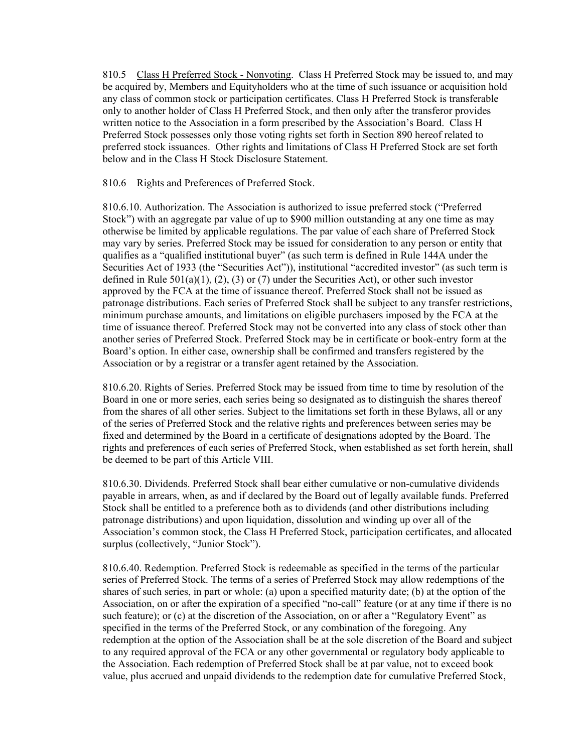810.5 Class H Preferred Stock - Nonvoting. Class H Preferred Stock may be issued to, and may be acquired by, Members and Equityholders who at the time of such issuance or acquisition hold any class of common stock or participation certificates. Class H Preferred Stock is transferable only to another holder of Class H Preferred Stock, and then only after the transferor provides written notice to the Association in a form prescribed by the Association's Board. Class H Preferred Stock possesses only those voting rights set forth in Section 890 hereof related to preferred stock issuances. Other rights and limitations of Class H Preferred Stock are set forth below and in the Class H Stock Disclosure Statement.

### 810.6 Rights and Preferences of Preferred Stock.

810.6.10. Authorization. The Association is authorized to issue preferred stock ("Preferred Stock") with an aggregate par value of up to \$900 million outstanding at any one time as may otherwise be limited by applicable regulations. The par value of each share of Preferred Stock may vary by series. Preferred Stock may be issued for consideration to any person or entity that qualifies as a "qualified institutional buyer" (as such term is defined in Rule 144A under the Securities Act of 1933 (the "Securities Act")), institutional "accredited investor" (as such term is defined in Rule  $501(a)(1)$ ,  $(2)$ ,  $(3)$  or  $(7)$  under the Securities Act), or other such investor approved by the FCA at the time of issuance thereof. Preferred Stock shall not be issued as patronage distributions. Each series of Preferred Stock shall be subject to any transfer restrictions, minimum purchase amounts, and limitations on eligible purchasers imposed by the FCA at the time of issuance thereof. Preferred Stock may not be converted into any class of stock other than another series of Preferred Stock. Preferred Stock may be in certificate or book-entry form at the Board's option. In either case, ownership shall be confirmed and transfers registered by the Association or by a registrar or a transfer agent retained by the Association.

810.6.20. Rights of Series. Preferred Stock may be issued from time to time by resolution of the Board in one or more series, each series being so designated as to distinguish the shares thereof from the shares of all other series. Subject to the limitations set forth in these Bylaws, all or any of the series of Preferred Stock and the relative rights and preferences between series may be fixed and determined by the Board in a certificate of designations adopted by the Board. The rights and preferences of each series of Preferred Stock, when established as set forth herein, shall be deemed to be part of this Article VIII.

810.6.30. Dividends. Preferred Stock shall bear either cumulative or non-cumulative dividends payable in arrears, when, as and if declared by the Board out of legally available funds. Preferred Stock shall be entitled to a preference both as to dividends (and other distributions including patronage distributions) and upon liquidation, dissolution and winding up over all of the Association's common stock, the Class H Preferred Stock, participation certificates, and allocated surplus (collectively, "Junior Stock").

810.6.40. Redemption. Preferred Stock is redeemable as specified in the terms of the particular series of Preferred Stock. The terms of a series of Preferred Stock may allow redemptions of the shares of such series, in part or whole: (a) upon a specified maturity date; (b) at the option of the Association, on or after the expiration of a specified "no-call" feature (or at any time if there is no such feature); or (c) at the discretion of the Association, on or after a "Regulatory Event" as specified in the terms of the Preferred Stock, or any combination of the foregoing. Any redemption at the option of the Association shall be at the sole discretion of the Board and subject to any required approval of the FCA or any other governmental or regulatory body applicable to the Association. Each redemption of Preferred Stock shall be at par value, not to exceed book value, plus accrued and unpaid dividends to the redemption date for cumulative Preferred Stock,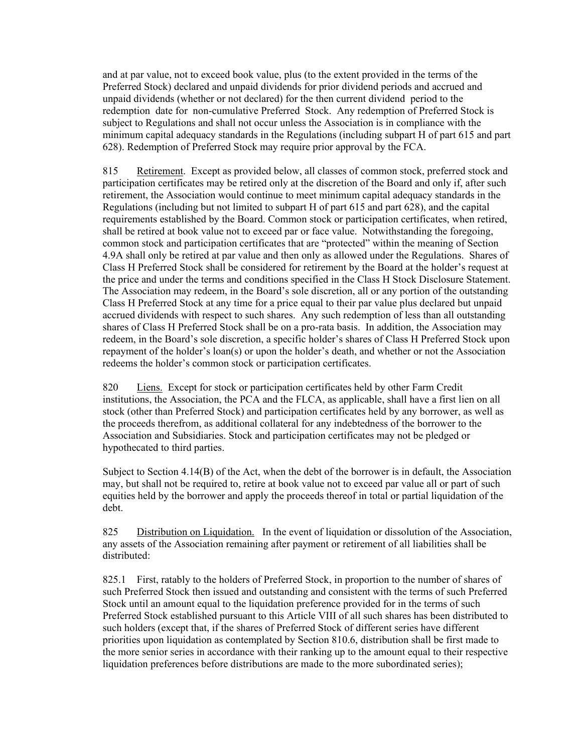and at par value, not to exceed book value, plus (to the extent provided in the terms of the Preferred Stock) declared and unpaid dividends for prior dividend periods and accrued and unpaid dividends (whether or not declared) for the then current dividend period to the redemption date for non-cumulative Preferred Stock. Any redemption of Preferred Stock is subject to Regulations and shall not occur unless the Association is in compliance with the minimum capital adequacy standards in the Regulations (including subpart H of part 615 and part 628). Redemption of Preferred Stock may require prior approval by the FCA.

815 Retirement. Except as provided below, all classes of common stock, preferred stock and participation certificates may be retired only at the discretion of the Board and only if, after such retirement, the Association would continue to meet minimum capital adequacy standards in the Regulations (including but not limited to subpart H of part 615 and part 628), and the capital requirements established by the Board. Common stock or participation certificates, when retired, shall be retired at book value not to exceed par or face value. Notwithstanding the foregoing, common stock and participation certificates that are "protected" within the meaning of Section 4.9A shall only be retired at par value and then only as allowed under the Regulations. Shares of Class H Preferred Stock shall be considered for retirement by the Board at the holder's request at the price and under the terms and conditions specified in the Class H Stock Disclosure Statement. The Association may redeem, in the Board's sole discretion, all or any portion of the outstanding Class H Preferred Stock at any time for a price equal to their par value plus declared but unpaid accrued dividends with respect to such shares. Any such redemption of less than all outstanding shares of Class H Preferred Stock shall be on a pro-rata basis. In addition, the Association may redeem, in the Board's sole discretion, a specific holder's shares of Class H Preferred Stock upon repayment of the holder's loan(s) or upon the holder's death, and whether or not the Association redeems the holder's common stock or participation certificates.

820 Liens. Except for stock or participation certificates held by other Farm Credit institutions, the Association, the PCA and the FLCA, as applicable, shall have a first lien on all stock (other than Preferred Stock) and participation certificates held by any borrower, as well as the proceeds therefrom, as additional collateral for any indebtedness of the borrower to the Association and Subsidiaries. Stock and participation certificates may not be pledged or hypothecated to third parties.

Subject to Section 4.14(B) of the Act, when the debt of the borrower is in default, the Association may, but shall not be required to, retire at book value not to exceed par value all or part of such equities held by the borrower and apply the proceeds thereof in total or partial liquidation of the debt.

825 Distribution on Liquidation. In the event of liquidation or dissolution of the Association, any assets of the Association remaining after payment or retirement of all liabilities shall be distributed:

825.1 First, ratably to the holders of Preferred Stock, in proportion to the number of shares of such Preferred Stock then issued and outstanding and consistent with the terms of such Preferred Stock until an amount equal to the liquidation preference provided for in the terms of such Preferred Stock established pursuant to this Article VIII of all such shares has been distributed to such holders (except that, if the shares of Preferred Stock of different series have different priorities upon liquidation as contemplated by Section 810.6, distribution shall be first made to the more senior series in accordance with their ranking up to the amount equal to their respective liquidation preferences before distributions are made to the more subordinated series);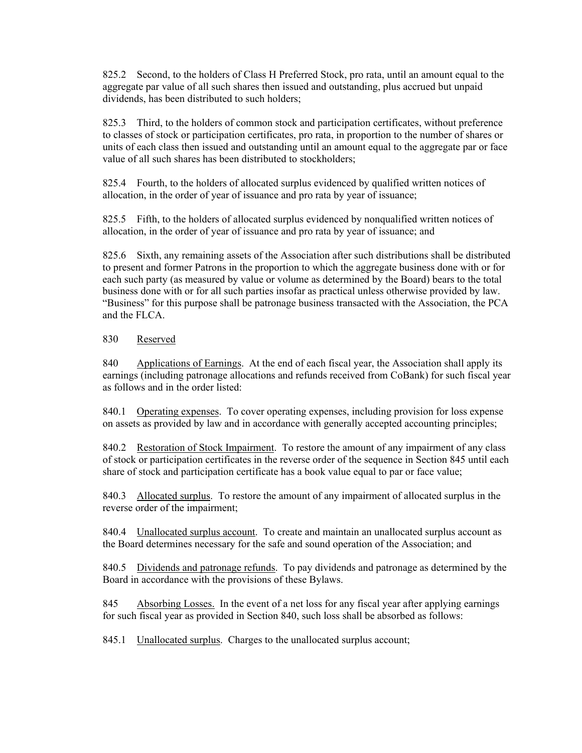825.2 Second, to the holders of Class H Preferred Stock, pro rata, until an amount equal to the aggregate par value of all such shares then issued and outstanding, plus accrued but unpaid dividends, has been distributed to such holders;

825.3 Third, to the holders of common stock and participation certificates, without preference to classes of stock or participation certificates, pro rata, in proportion to the number of shares or units of each class then issued and outstanding until an amount equal to the aggregate par or face value of all such shares has been distributed to stockholders;

825.4 Fourth, to the holders of allocated surplus evidenced by qualified written notices of allocation, in the order of year of issuance and pro rata by year of issuance;

825.5 Fifth, to the holders of allocated surplus evidenced by nonqualified written notices of allocation, in the order of year of issuance and pro rata by year of issuance; and

825.6 Sixth, any remaining assets of the Association after such distributions shall be distributed to present and former Patrons in the proportion to which the aggregate business done with or for each such party (as measured by value or volume as determined by the Board) bears to the total business done with or for all such parties insofar as practical unless otherwise provided by law. "Business" for this purpose shall be patronage business transacted with the Association, the PCA and the FLCA.

### 830 Reserved

840 Applications of Earnings. At the end of each fiscal year, the Association shall apply its earnings (including patronage allocations and refunds received from CoBank) for such fiscal year as follows and in the order listed:

840.1 Operating expenses. To cover operating expenses, including provision for loss expense on assets as provided by law and in accordance with generally accepted accounting principles;

840.2 Restoration of Stock Impairment. To restore the amount of any impairment of any class of stock or participation certificates in the reverse order of the sequence in Section 845 until each share of stock and participation certificate has a book value equal to par or face value;

840.3 Allocated surplus. To restore the amount of any impairment of allocated surplus in the reverse order of the impairment;

840.4 Unallocated surplus account. To create and maintain an unallocated surplus account as the Board determines necessary for the safe and sound operation of the Association; and

840.5 Dividends and patronage refunds. To pay dividends and patronage as determined by the Board in accordance with the provisions of these Bylaws.

845 Absorbing Losses. In the event of a net loss for any fiscal year after applying earnings for such fiscal year as provided in Section 840, such loss shall be absorbed as follows:

845.1 Unallocated surplus. Charges to the unallocated surplus account;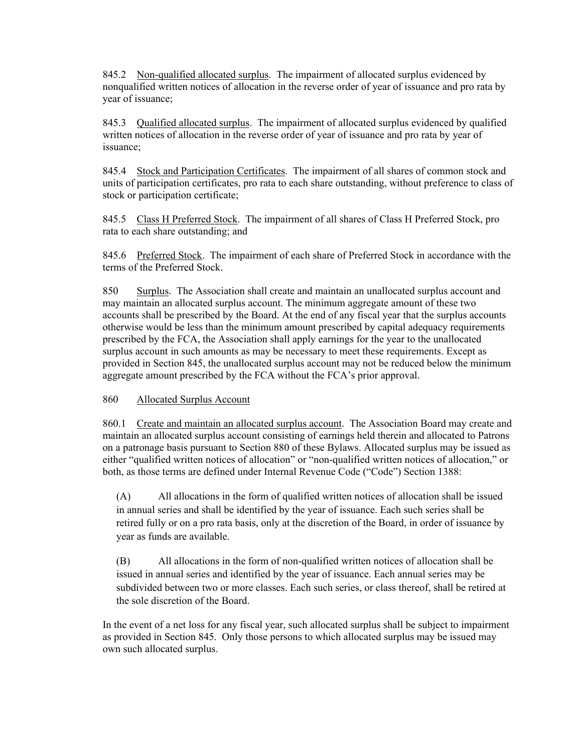845.2 Non-qualified allocated surplus. The impairment of allocated surplus evidenced by nonqualified written notices of allocation in the reverse order of year of issuance and pro rata by year of issuance;

845.3 Qualified allocated surplus. The impairment of allocated surplus evidenced by qualified written notices of allocation in the reverse order of year of issuance and pro rata by year of issuance;

845.4 Stock and Participation Certificates. The impairment of all shares of common stock and units of participation certificates, pro rata to each share outstanding, without preference to class of stock or participation certificate;

845.5 Class H Preferred Stock. The impairment of all shares of Class H Preferred Stock, pro rata to each share outstanding; and

845.6 Preferred Stock. The impairment of each share of Preferred Stock in accordance with the terms of the Preferred Stock.

850 Surplus. The Association shall create and maintain an unallocated surplus account and may maintain an allocated surplus account. The minimum aggregate amount of these two accounts shall be prescribed by the Board. At the end of any fiscal year that the surplus accounts otherwise would be less than the minimum amount prescribed by capital adequacy requirements prescribed by the FCA, the Association shall apply earnings for the year to the unallocated surplus account in such amounts as may be necessary to meet these requirements. Except as provided in Section 845, the unallocated surplus account may not be reduced below the minimum aggregate amount prescribed by the FCA without the FCA's prior approval.

860 Allocated Surplus Account

860.1 Create and maintain an allocated surplus account. The Association Board may create and maintain an allocated surplus account consisting of earnings held therein and allocated to Patrons on a patronage basis pursuant to Section 880 of these Bylaws. Allocated surplus may be issued as either "qualified written notices of allocation" or "non-qualified written notices of allocation," or both, as those terms are defined under Internal Revenue Code ("Code") Section 1388:

(A) All allocations in the form of qualified written notices of allocation shall be issued in annual series and shall be identified by the year of issuance. Each such series shall be retired fully or on a pro rata basis, only at the discretion of the Board, in order of issuance by year as funds are available.

(B) All allocations in the form of non-qualified written notices of allocation shall be issued in annual series and identified by the year of issuance. Each annual series may be subdivided between two or more classes. Each such series, or class thereof, shall be retired at the sole discretion of the Board.

In the event of a net loss for any fiscal year, such allocated surplus shall be subject to impairment as provided in Section 845. Only those persons to which allocated surplus may be issued may own such allocated surplus.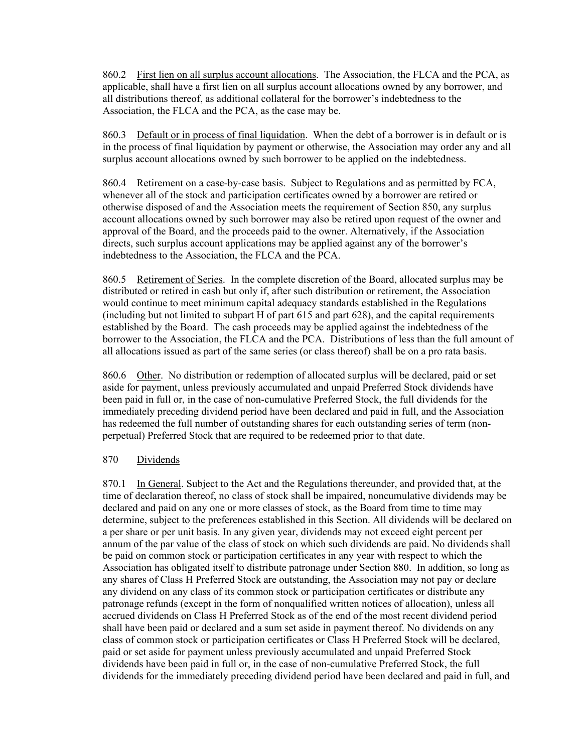860.2 First lien on all surplus account allocations. The Association, the FLCA and the PCA, as applicable, shall have a first lien on all surplus account allocations owned by any borrower, and all distributions thereof, as additional collateral for the borrower's indebtedness to the Association, the FLCA and the PCA, as the case may be.

860.3 Default or in process of final liquidation. When the debt of a borrower is in default or is in the process of final liquidation by payment or otherwise, the Association may order any and all surplus account allocations owned by such borrower to be applied on the indebtedness.

860.4 Retirement on a case-by-case basis. Subject to Regulations and as permitted by FCA, whenever all of the stock and participation certificates owned by a borrower are retired or otherwise disposed of and the Association meets the requirement of Section 850, any surplus account allocations owned by such borrower may also be retired upon request of the owner and approval of the Board, and the proceeds paid to the owner. Alternatively, if the Association directs, such surplus account applications may be applied against any of the borrower's indebtedness to the Association, the FLCA and the PCA.

860.5 Retirement of Series. In the complete discretion of the Board, allocated surplus may be distributed or retired in cash but only if, after such distribution or retirement, the Association would continue to meet minimum capital adequacy standards established in the Regulations (including but not limited to subpart H of part 615 and part 628), and the capital requirements established by the Board. The cash proceeds may be applied against the indebtedness of the borrower to the Association, the FLCA and the PCA. Distributions of less than the full amount of all allocations issued as part of the same series (or class thereof) shall be on a pro rata basis.

860.6 Other. No distribution or redemption of allocated surplus will be declared, paid or set aside for payment, unless previously accumulated and unpaid Preferred Stock dividends have been paid in full or, in the case of non-cumulative Preferred Stock, the full dividends for the immediately preceding dividend period have been declared and paid in full, and the Association has redeemed the full number of outstanding shares for each outstanding series of term (nonperpetual) Preferred Stock that are required to be redeemed prior to that date.

### 870 Dividends

870.1 In General. Subject to the Act and the Regulations thereunder, and provided that, at the time of declaration thereof, no class of stock shall be impaired, noncumulative dividends may be declared and paid on any one or more classes of stock, as the Board from time to time may determine, subject to the preferences established in this Section. All dividends will be declared on a per share or per unit basis. In any given year, dividends may not exceed eight percent per annum of the par value of the class of stock on which such dividends are paid. No dividends shall be paid on common stock or participation certificates in any year with respect to which the Association has obligated itself to distribute patronage under Section 880. In addition, so long as any shares of Class H Preferred Stock are outstanding, the Association may not pay or declare any dividend on any class of its common stock or participation certificates or distribute any patronage refunds (except in the form of nonqualified written notices of allocation), unless all accrued dividends on Class H Preferred Stock as of the end of the most recent dividend period shall have been paid or declared and a sum set aside in payment thereof. No dividends on any class of common stock or participation certificates or Class H Preferred Stock will be declared, paid or set aside for payment unless previously accumulated and unpaid Preferred Stock dividends have been paid in full or, in the case of non-cumulative Preferred Stock, the full dividends for the immediately preceding dividend period have been declared and paid in full, and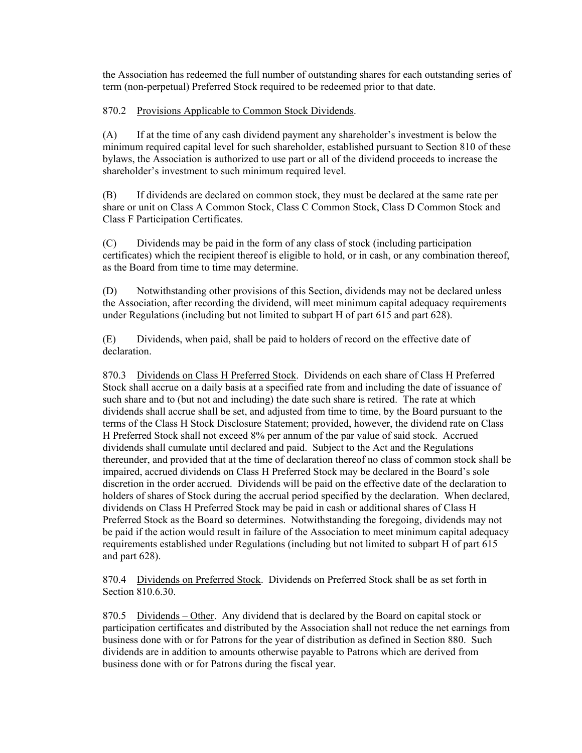the Association has redeemed the full number of outstanding shares for each outstanding series of term (non-perpetual) Preferred Stock required to be redeemed prior to that date.

### 870.2 Provisions Applicable to Common Stock Dividends.

(A) If at the time of any cash dividend payment any shareholder's investment is below the minimum required capital level for such shareholder, established pursuant to Section 810 of these bylaws, the Association is authorized to use part or all of the dividend proceeds to increase the shareholder's investment to such minimum required level.

(B) If dividends are declared on common stock, they must be declared at the same rate per share or unit on Class A Common Stock, Class C Common Stock, Class D Common Stock and Class F Participation Certificates.

(C) Dividends may be paid in the form of any class of stock (including participation certificates) which the recipient thereof is eligible to hold, or in cash, or any combination thereof, as the Board from time to time may determine.

(D) Notwithstanding other provisions of this Section, dividends may not be declared unless the Association, after recording the dividend, will meet minimum capital adequacy requirements under Regulations (including but not limited to subpart H of part 615 and part 628).

(E) Dividends, when paid, shall be paid to holders of record on the effective date of declaration.

870.3 Dividends on Class H Preferred Stock. Dividends on each share of Class H Preferred Stock shall accrue on a daily basis at a specified rate from and including the date of issuance of such share and to (but not and including) the date such share is retired. The rate at which dividends shall accrue shall be set, and adjusted from time to time, by the Board pursuant to the terms of the Class H Stock Disclosure Statement; provided, however, the dividend rate on Class H Preferred Stock shall not exceed 8% per annum of the par value of said stock. Accrued dividends shall cumulate until declared and paid. Subject to the Act and the Regulations thereunder, and provided that at the time of declaration thereof no class of common stock shall be impaired, accrued dividends on Class H Preferred Stock may be declared in the Board's sole discretion in the order accrued. Dividends will be paid on the effective date of the declaration to holders of shares of Stock during the accrual period specified by the declaration. When declared, dividends on Class H Preferred Stock may be paid in cash or additional shares of Class H Preferred Stock as the Board so determines. Notwithstanding the foregoing, dividends may not be paid if the action would result in failure of the Association to meet minimum capital adequacy requirements established under Regulations (including but not limited to subpart H of part 615 and part 628).

870.4 Dividends on Preferred Stock. Dividends on Preferred Stock shall be as set forth in Section 810.6.30.

870.5 Dividends – Other. Any dividend that is declared by the Board on capital stock or participation certificates and distributed by the Association shall not reduce the net earnings from business done with or for Patrons for the year of distribution as defined in Section 880. Such dividends are in addition to amounts otherwise payable to Patrons which are derived from business done with or for Patrons during the fiscal year.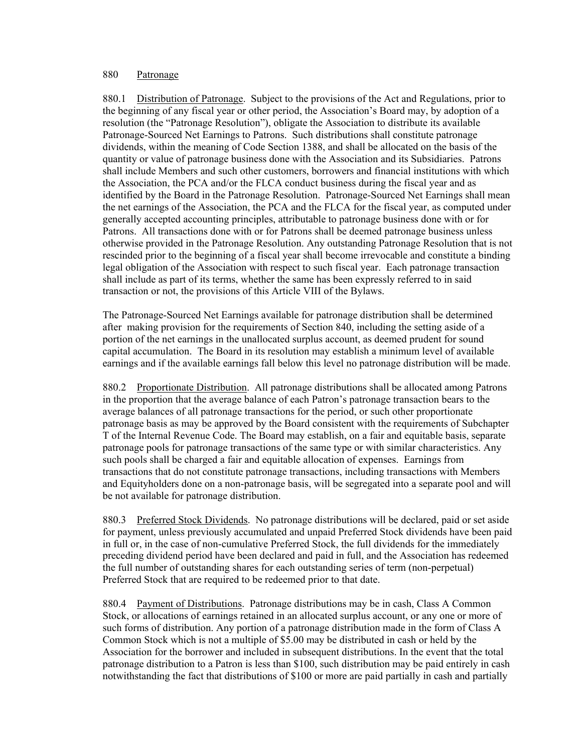#### 880 Patronage

880.1 Distribution of Patronage. Subject to the provisions of the Act and Regulations, prior to the beginning of any fiscal year or other period, the Association's Board may, by adoption of a resolution (the "Patronage Resolution"), obligate the Association to distribute its available Patronage-Sourced Net Earnings to Patrons. Such distributions shall constitute patronage dividends, within the meaning of Code Section 1388, and shall be allocated on the basis of the quantity or value of patronage business done with the Association and its Subsidiaries. Patrons shall include Members and such other customers, borrowers and financial institutions with which the Association, the PCA and/or the FLCA conduct business during the fiscal year and as identified by the Board in the Patronage Resolution. Patronage-Sourced Net Earnings shall mean the net earnings of the Association, the PCA and the FLCA for the fiscal year, as computed under generally accepted accounting principles, attributable to patronage business done with or for Patrons. All transactions done with or for Patrons shall be deemed patronage business unless otherwise provided in the Patronage Resolution. Any outstanding Patronage Resolution that is not rescinded prior to the beginning of a fiscal year shall become irrevocable and constitute a binding legal obligation of the Association with respect to such fiscal year. Each patronage transaction shall include as part of its terms, whether the same has been expressly referred to in said transaction or not, the provisions of this Article VIII of the Bylaws.

The Patronage-Sourced Net Earnings available for patronage distribution shall be determined after making provision for the requirements of Section 840, including the setting aside of a portion of the net earnings in the unallocated surplus account, as deemed prudent for sound capital accumulation. The Board in its resolution may establish a minimum level of available earnings and if the available earnings fall below this level no patronage distribution will be made.

880.2 Proportionate Distribution. All patronage distributions shall be allocated among Patrons in the proportion that the average balance of each Patron's patronage transaction bears to the average balances of all patronage transactions for the period, or such other proportionate patronage basis as may be approved by the Board consistent with the requirements of Subchapter T of the Internal Revenue Code. The Board may establish, on a fair and equitable basis, separate patronage pools for patronage transactions of the same type or with similar characteristics. Any such pools shall be charged a fair and equitable allocation of expenses. Earnings from transactions that do not constitute patronage transactions, including transactions with Members and Equityholders done on a non-patronage basis, will be segregated into a separate pool and will be not available for patronage distribution.

880.3 Preferred Stock Dividends. No patronage distributions will be declared, paid or set aside for payment, unless previously accumulated and unpaid Preferred Stock dividends have been paid in full or, in the case of non-cumulative Preferred Stock, the full dividends for the immediately preceding dividend period have been declared and paid in full, and the Association has redeemed the full number of outstanding shares for each outstanding series of term (non-perpetual) Preferred Stock that are required to be redeemed prior to that date.

880.4 Payment of Distributions. Patronage distributions may be in cash, Class A Common Stock, or allocations of earnings retained in an allocated surplus account, or any one or more of such forms of distribution. Any portion of a patronage distribution made in the form of Class A Common Stock which is not a multiple of \$5.00 may be distributed in cash or held by the Association for the borrower and included in subsequent distributions. In the event that the total patronage distribution to a Patron is less than \$100, such distribution may be paid entirely in cash notwithstanding the fact that distributions of \$100 or more are paid partially in cash and partially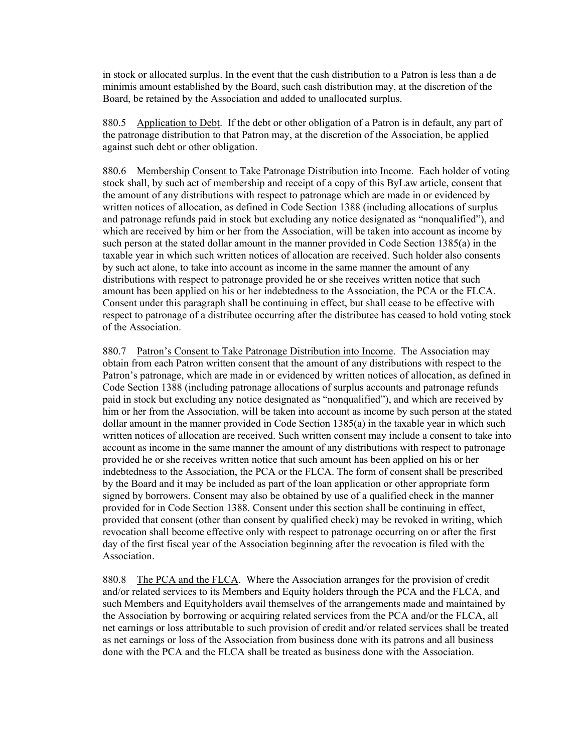in stock or allocated surplus. In the event that the cash distribution to a Patron is less than a de minimis amount established by the Board, such cash distribution may, at the discretion of the Board, be retained by the Association and added to unallocated surplus.

880.5 Application to Debt. If the debt or other obligation of a Patron is in default, any part of the patronage distribution to that Patron may, at the discretion of the Association, be applied against such debt or other obligation.

880.6 Membership Consent to Take Patronage Distribution into Income. Each holder of voting stock shall, by such act of membership and receipt of a copy of this ByLaw article, consent that the amount of any distributions with respect to patronage which are made in or evidenced by written notices of allocation, as defined in Code Section 1388 (including allocations of surplus and patronage refunds paid in stock but excluding any notice designated as "nonqualified"), and which are received by him or her from the Association, will be taken into account as income by such person at the stated dollar amount in the manner provided in Code Section 1385(a) in the taxable year in which such written notices of allocation are received. Such holder also consents by such act alone, to take into account as income in the same manner the amount of any distributions with respect to patronage provided he or she receives written notice that such amount has been applied on his or her indebtedness to the Association, the PCA or the FLCA. Consent under this paragraph shall be continuing in effect, but shall cease to be effective with respect to patronage of a distributee occurring after the distributee has ceased to hold voting stock of the Association.

880.7 Patron's Consent to Take Patronage Distribution into Income. The Association may obtain from each Patron written consent that the amount of any distributions with respect to the Patron's patronage, which are made in or evidenced by written notices of allocation, as defined in Code Section 1388 (including patronage allocations of surplus accounts and patronage refunds paid in stock but excluding any notice designated as "nonqualified"), and which are received by him or her from the Association, will be taken into account as income by such person at the stated dollar amount in the manner provided in Code Section 1385(a) in the taxable year in which such written notices of allocation are received. Such written consent may include a consent to take into account as income in the same manner the amount of any distributions with respect to patronage provided he or she receives written notice that such amount has been applied on his or her indebtedness to the Association, the PCA or the FLCA. The form of consent shall be prescribed by the Board and it may be included as part of the loan application or other appropriate form signed by borrowers. Consent may also be obtained by use of a qualified check in the manner provided for in Code Section 1388. Consent under this section shall be continuing in effect, provided that consent (other than consent by qualified check) may be revoked in writing, which revocation shall become effective only with respect to patronage occurring on or after the first day of the first fiscal year of the Association beginning after the revocation is filed with the Association.

880.8 The PCA and the FLCA. Where the Association arranges for the provision of credit and/or related services to its Members and Equity holders through the PCA and the FLCA, and such Members and Equityholders avail themselves of the arrangements made and maintained by the Association by borrowing or acquiring related services from the PCA and/or the FLCA, all net earnings or loss attributable to such provision of credit and/or related services shall be treated as net earnings or loss of the Association from business done with its patrons and all business done with the PCA and the FLCA shall be treated as business done with the Association.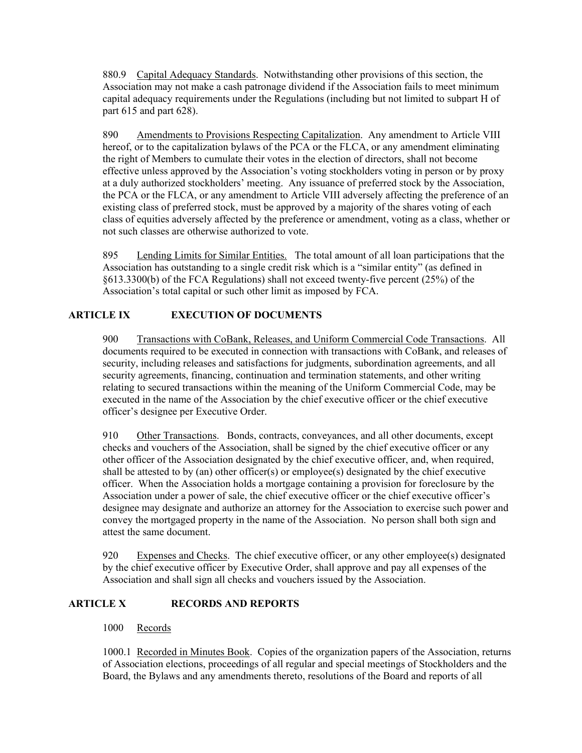880.9 Capital Adequacy Standards. Notwithstanding other provisions of this section, the Association may not make a cash patronage dividend if the Association fails to meet minimum capital adequacy requirements under the Regulations (including but not limited to subpart H of part 615 and part 628).

890 Amendments to Provisions Respecting Capitalization. Any amendment to Article VIII hereof, or to the capitalization bylaws of the PCA or the FLCA, or any amendment eliminating the right of Members to cumulate their votes in the election of directors, shall not become effective unless approved by the Association's voting stockholders voting in person or by proxy at a duly authorized stockholders' meeting. Any issuance of preferred stock by the Association, the PCA or the FLCA, or any amendment to Article VIII adversely affecting the preference of an existing class of preferred stock, must be approved by a majority of the shares voting of each class of equities adversely affected by the preference or amendment, voting as a class, whether or not such classes are otherwise authorized to vote.

895 Lending Limits for Similar Entities. The total amount of all loan participations that the Association has outstanding to a single credit risk which is a "similar entity" (as defined in §613.3300(b) of the FCA Regulations) shall not exceed twenty-five percent (25%) of the Association's total capital or such other limit as imposed by FCA.

## **ARTICLE IX EXECUTION OF DOCUMENTS**

900 Transactions with CoBank, Releases, and Uniform Commercial Code Transactions. All documents required to be executed in connection with transactions with CoBank, and releases of security, including releases and satisfactions for judgments, subordination agreements, and all security agreements, financing, continuation and termination statements, and other writing relating to secured transactions within the meaning of the Uniform Commercial Code, may be executed in the name of the Association by the chief executive officer or the chief executive officer's designee per Executive Order.

910 Other Transactions. Bonds, contracts, conveyances, and all other documents, except checks and vouchers of the Association, shall be signed by the chief executive officer or any other officer of the Association designated by the chief executive officer, and, when required, shall be attested to by (an) other officer(s) or employee(s) designated by the chief executive officer. When the Association holds a mortgage containing a provision for foreclosure by the Association under a power of sale, the chief executive officer or the chief executive officer's designee may designate and authorize an attorney for the Association to exercise such power and convey the mortgaged property in the name of the Association. No person shall both sign and attest the same document.

920 Expenses and Checks. The chief executive officer, or any other employee(s) designated by the chief executive officer by Executive Order, shall approve and pay all expenses of the Association and shall sign all checks and vouchers issued by the Association.

# **ARTICLE X RECORDS AND REPORTS**

### 1000 Records

1000.1 Recorded in Minutes Book. Copies of the organization papers of the Association, returns of Association elections, proceedings of all regular and special meetings of Stockholders and the Board, the Bylaws and any amendments thereto, resolutions of the Board and reports of all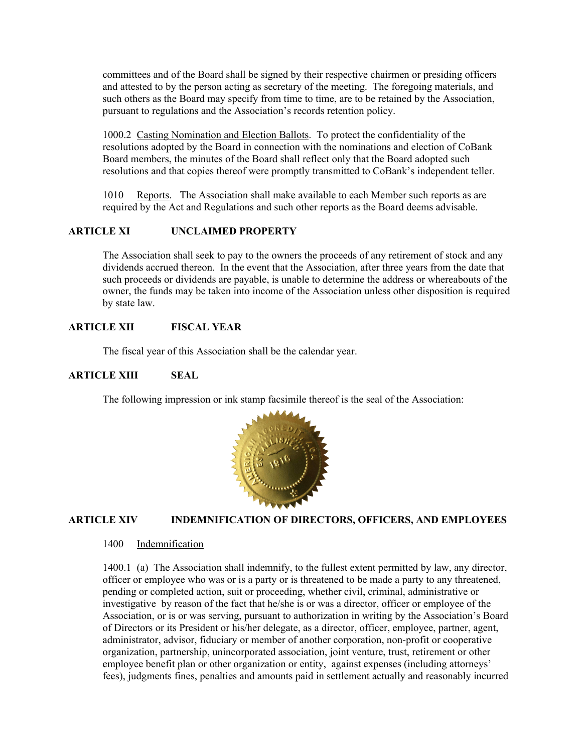committees and of the Board shall be signed by their respective chairmen or presiding officers and attested to by the person acting as secretary of the meeting. The foregoing materials, and such others as the Board may specify from time to time, are to be retained by the Association, pursuant to regulations and the Association's records retention policy.

1000.2 Casting Nomination and Election Ballots. To protect the confidentiality of the resolutions adopted by the Board in connection with the nominations and election of CoBank Board members, the minutes of the Board shall reflect only that the Board adopted such resolutions and that copies thereof were promptly transmitted to CoBank's independent teller.

1010 Reports. The Association shall make available to each Member such reports as are required by the Act and Regulations and such other reports as the Board deems advisable.

### **ARTICLE XI UNCLAIMED PROPERTY**

The Association shall seek to pay to the owners the proceeds of any retirement of stock and any dividends accrued thereon. In the event that the Association, after three years from the date that such proceeds or dividends are payable, is unable to determine the address or whereabouts of the owner, the funds may be taken into income of the Association unless other disposition is required by state law.

### **ARTICLE XII FISCAL YEAR**

The fiscal year of this Association shall be the calendar year.

#### **ARTICLE XIII SEAL**

The following impression or ink stamp facsimile thereof is the seal of the Association:



#### **ARTICLE XIV INDEMNIFICATION OF DIRECTORS, OFFICERS, AND EMPLOYEES**

### 1400 Indemnification

1400.1 (a) The Association shall indemnify, to the fullest extent permitted by law, any director, officer or employee who was or is a party or is threatened to be made a party to any threatened, pending or completed action, suit or proceeding, whether civil, criminal, administrative or investigative by reason of the fact that he/she is or was a director, officer or employee of the Association, or is or was serving, pursuant to authorization in writing by the Association's Board of Directors or its President or his/her delegate, as a director, officer, employee, partner, agent, administrator, advisor, fiduciary or member of another corporation, non-profit or cooperative organization, partnership, unincorporated association, joint venture, trust, retirement or other employee benefit plan or other organization or entity, against expenses (including attorneys' fees), judgments fines, penalties and amounts paid in settlement actually and reasonably incurred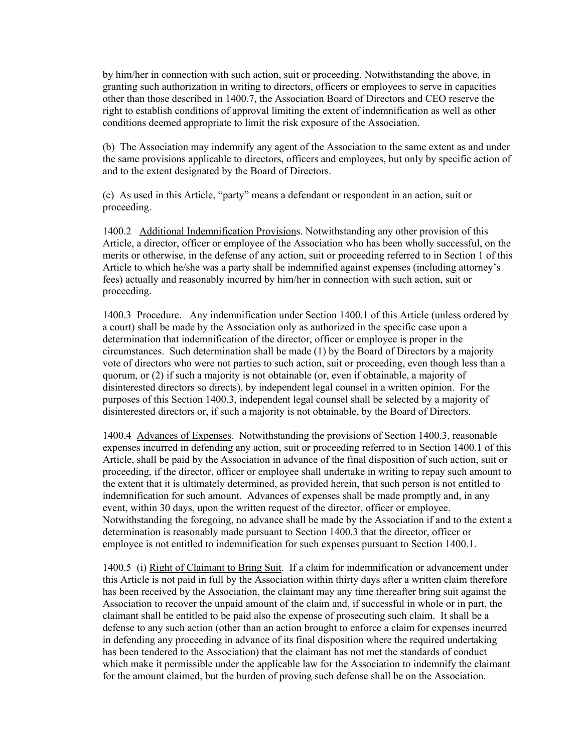by him/her in connection with such action, suit or proceeding. Notwithstanding the above, in granting such authorization in writing to directors, officers or employees to serve in capacities other than those described in 1400.7, the Association Board of Directors and CEO reserve the right to establish conditions of approval limiting the extent of indemnification as well as other conditions deemed appropriate to limit the risk exposure of the Association.

(b) The Association may indemnify any agent of the Association to the same extent as and under the same provisions applicable to directors, officers and employees, but only by specific action of and to the extent designated by the Board of Directors.

(c) As used in this Article, "party" means a defendant or respondent in an action, suit or proceeding.

1400.2 Additional Indemnification Provisions. Notwithstanding any other provision of this Article, a director, officer or employee of the Association who has been wholly successful, on the merits or otherwise, in the defense of any action, suit or proceeding referred to in Section 1 of this Article to which he/she was a party shall be indemnified against expenses (including attorney's fees) actually and reasonably incurred by him/her in connection with such action, suit or proceeding.

1400.3 Procedure. Any indemnification under Section 1400.1 of this Article (unless ordered by a court) shall be made by the Association only as authorized in the specific case upon a determination that indemnification of the director, officer or employee is proper in the circumstances. Such determination shall be made (1) by the Board of Directors by a majority vote of directors who were not parties to such action, suit or proceeding, even though less than a quorum, or (2) if such a majority is not obtainable (or, even if obtainable, a majority of disinterested directors so directs), by independent legal counsel in a written opinion. For the purposes of this Section 1400.3, independent legal counsel shall be selected by a majority of disinterested directors or, if such a majority is not obtainable, by the Board of Directors.

1400.4 Advances of Expenses. Notwithstanding the provisions of Section 1400.3, reasonable expenses incurred in defending any action, suit or proceeding referred to in Section 1400.1 of this Article, shall be paid by the Association in advance of the final disposition of such action, suit or proceeding, if the director, officer or employee shall undertake in writing to repay such amount to the extent that it is ultimately determined, as provided herein, that such person is not entitled to indemnification for such amount. Advances of expenses shall be made promptly and, in any event, within 30 days, upon the written request of the director, officer or employee. Notwithstanding the foregoing, no advance shall be made by the Association if and to the extent a determination is reasonably made pursuant to Section 1400.3 that the director, officer or employee is not entitled to indemnification for such expenses pursuant to Section 1400.1.

1400.5 (i) Right of Claimant to Bring Suit. If a claim for indemnification or advancement under this Article is not paid in full by the Association within thirty days after a written claim therefore has been received by the Association, the claimant may any time thereafter bring suit against the Association to recover the unpaid amount of the claim and, if successful in whole or in part, the claimant shall be entitled to be paid also the expense of prosecuting such claim. It shall be a defense to any such action (other than an action brought to enforce a claim for expenses incurred in defending any proceeding in advance of its final disposition where the required undertaking has been tendered to the Association) that the claimant has not met the standards of conduct which make it permissible under the applicable law for the Association to indemnify the claimant for the amount claimed, but the burden of proving such defense shall be on the Association.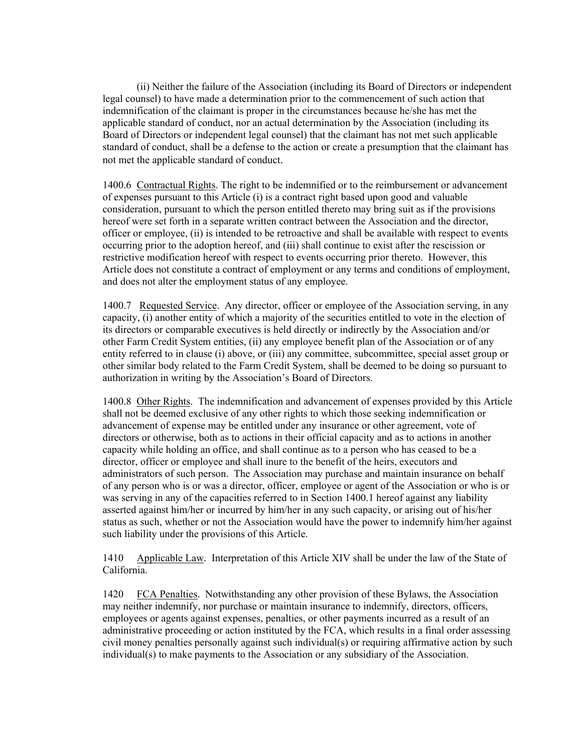(ii) Neither the failure of the Association (including its Board of Directors or independent legal counsel) to have made a determination prior to the commencement of such action that indemnification of the claimant is proper in the circumstances because he/she has met the applicable standard of conduct, nor an actual determination by the Association (including its Board of Directors or independent legal counsel) that the claimant has not met such applicable standard of conduct, shall be a defense to the action or create a presumption that the claimant has not met the applicable standard of conduct.

1400.6 Contractual Rights. The right to be indemnified or to the reimbursement or advancement of expenses pursuant to this Article (i) is a contract right based upon good and valuable consideration, pursuant to which the person entitled thereto may bring suit as if the provisions hereof were set forth in a separate written contract between the Association and the director, officer or employee, (ii) is intended to be retroactive and shall be available with respect to events occurring prior to the adoption hereof, and (iii) shall continue to exist after the rescission or restrictive modification hereof with respect to events occurring prior thereto. However, this Article does not constitute a contract of employment or any terms and conditions of employment, and does not alter the employment status of any employee.

1400.7 Requested Service. Any director, officer or employee of the Association serving, in any capacity, (i) another entity of which a majority of the securities entitled to vote in the election of its directors or comparable executives is held directly or indirectly by the Association and/or other Farm Credit System entities, (ii) any employee benefit plan of the Association or of any entity referred to in clause (i) above, or (iii) any committee, subcommittee, special asset group or other similar body related to the Farm Credit System, shall be deemed to be doing so pursuant to authorization in writing by the Association's Board of Directors.

1400.8 Other Rights. The indemnification and advancement of expenses provided by this Article shall not be deemed exclusive of any other rights to which those seeking indemnification or advancement of expense may be entitled under any insurance or other agreement, vote of directors or otherwise, both as to actions in their official capacity and as to actions in another capacity while holding an office, and shall continue as to a person who has ceased to be a director, officer or employee and shall inure to the benefit of the heirs, executors and administrators of such person. The Association may purchase and maintain insurance on behalf of any person who is or was a director, officer, employee or agent of the Association or who is or was serving in any of the capacities referred to in Section 1400.1 hereof against any liability asserted against him/her or incurred by him/her in any such capacity, or arising out of his/her status as such, whether or not the Association would have the power to indemnify him/her against such liability under the provisions of this Article.

1410 Applicable Law. Interpretation of this Article XIV shall be under the law of the State of California.

1420 FCA Penalties. Notwithstanding any other provision of these Bylaws, the Association may neither indemnify, nor purchase or maintain insurance to indemnify, directors, officers, employees or agents against expenses, penalties, or other payments incurred as a result of an administrative proceeding or action instituted by the FCA, which results in a final order assessing civil money penalties personally against such individual(s) or requiring affirmative action by such individual(s) to make payments to the Association or any subsidiary of the Association.